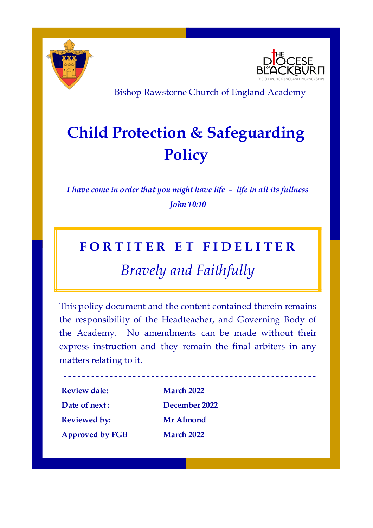



Bishop Rawstorne Church of England Academy

# **Child Protection & Safeguarding Policy**

*I have come in order that you might have life - life in all its fullness John 10:10*

# **F O R T I T E R E T F I D E L I T E R** *Bravely and Faithfully*

This policy document and the content contained therein remains the responsibility of the Headteacher, and Governing Body of the Academy. No amendments can be made without their express instruction and they remain the final arbiters in any matters relating to it.

| <b>Review date:</b>    | <b>March 2022</b> |
|------------------------|-------------------|
| Date of next:          | December 2022     |
| <b>Reviewed by:</b>    | Mr Almond         |
| <b>Approved by FGB</b> | <b>March 2022</b> |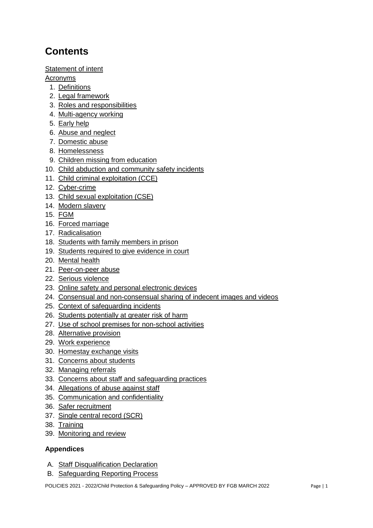# **Contents**

#### [Statement of intent](#page-2-0)

**[Acronyms](#page-3-0)** 

- 1. [Definitions](#page-6-0)
- 2. [Legal framework](#page-7-0)
- 3. [Roles and responsibilities](#page-9-0)
- 4. [Multi-agency working](#page-13-0)
- 5. [Early help](#page-14-0)
- 6. [Abuse and neglect](#page-15-0)
- 7. [Domestic abuse](#page-16-0)
- 8. [Homelessness](#page-16-1)
- 9. [Children missing from education](#page-17-0)
- 10. [Child abduction and community safety incidents](#page-18-0)
- 11. [Child criminal exploitation \(CCE\)](#page-19-0)
- 12. [Cyber-crime](#page-20-0)
- 13. [Child sexual exploitation \(CSE\)](#page-20-1)
- 14. [Modern slavery](#page-21-0)
- 15. [FGM](#page-21-1)
- 16. [Forced marriage](#page-22-0)
- 17. [Radicalisation](#page-23-0)
- 18. Students [with family members in prison](#page-24-0)
- 19. Students [required to give evidence in court](#page-24-1)
- 20. [Mental health](#page-24-2)
- 21. [Peer-on-peer abuse](#page-24-3)
- 22. [Serious violence](#page-26-0)
- 23. [Online safety and personal electronic devices](#page-26-1)
- 24. [Consensual and non-consensual sharing of indecent images and videos](#page-27-0)
- 25. [Context of safeguarding incidents](#page-29-0)
- 26. Students [potentially at greater risk of harm](#page-29-1)
- 27. [Use of school premises for non-school activities](#page-31-0)
- 28. [Alternative provision](#page-31-1)
- 29. [Work experience](#page-31-2)
- 30. [Homestay exchange visits](#page-31-3)
- 31. [Concerns about students](#page-32-0)
- 32. [Managing referrals](#page-33-0)
- 33. [Concerns about staff and safeguarding practices](#page-34-0)
- 34. [Allegations of abuse against staff](#page-34-1)
- 35. [Communication and confidentiality](#page-34-2)
- 36. [Safer recruitment](#page-35-0)
- 37. [Single central record \(SCR\)](#page-36-0)
- 38. [Training](#page-37-0)
- 39. [Monitoring and review](#page-38-0)

#### **Appendices**

- A. Staff Disqualification Declaration
- B. [Safeguarding Reporting Process](#page-38-1)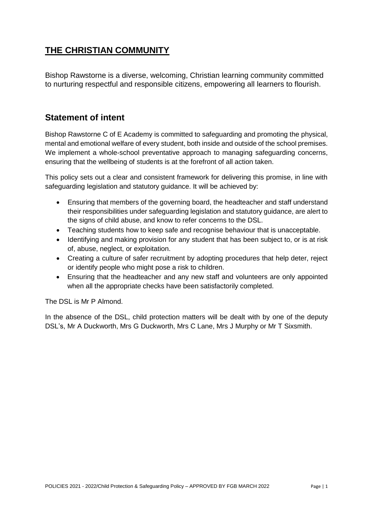# <span id="page-2-0"></span>**THE CHRISTIAN COMMUNITY**

Bishop Rawstorne is a diverse, welcoming, Christian learning community committed to nurturing respectful and responsible citizens, empowering all learners to flourish.

### **Statement of intent**

Bishop Rawstorne C of E Academy is committed to safeguarding and promoting the physical, mental and emotional welfare of every student, both inside and outside of the school premises. We implement a whole-school preventative approach to managing safeguarding concerns, ensuring that the wellbeing of students is at the forefront of all action taken.

This policy sets out a clear and consistent framework for delivering this promise, in line with safeguarding legislation and statutory guidance. It will be achieved by:

- Ensuring that members of the governing board, the headteacher and staff understand their responsibilities under safeguarding legislation and statutory guidance, are alert to the signs of child abuse, and know to refer concerns to the DSL.
- Teaching students how to keep safe and recognise behaviour that is unacceptable.
- Identifying and making provision for any student that has been subject to, or is at risk of, abuse, neglect, or exploitation.
- Creating a culture of safer recruitment by adopting procedures that help deter, reject or identify people who might pose a risk to children.
- Ensuring that the headteacher and any new staff and volunteers are only appointed when all the appropriate checks have been satisfactorily completed.

The DSL is Mr P Almond.

In the absence of the DSL, child protection matters will be dealt with by one of the deputy DSL's, Mr A Duckworth, Mrs G Duckworth, Mrs C Lane, Mrs J Murphy or Mr T Sixsmith.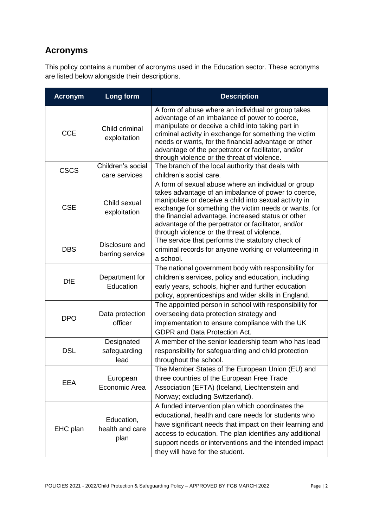# <span id="page-3-0"></span>**Acronyms**

This policy contains a number of acronyms used in the Education sector. These acronyms are listed below alongside their descriptions.

| <b>Acronym</b> | Long form                             | <b>Description</b>                                                                                                                                                                                                                                                                                                                                                                       |
|----------------|---------------------------------------|------------------------------------------------------------------------------------------------------------------------------------------------------------------------------------------------------------------------------------------------------------------------------------------------------------------------------------------------------------------------------------------|
| <b>CCE</b>     | Child criminal<br>exploitation        | A form of abuse where an individual or group takes<br>advantage of an imbalance of power to coerce,<br>manipulate or deceive a child into taking part in<br>criminal activity in exchange for something the victim<br>needs or wants, for the financial advantage or other<br>advantage of the perpetrator or facilitator, and/or<br>through violence or the threat of violence.         |
| <b>CSCS</b>    | Children's social<br>care services    | The branch of the local authority that deals with<br>children's social care.                                                                                                                                                                                                                                                                                                             |
| <b>CSE</b>     | Child sexual<br>exploitation          | A form of sexual abuse where an individual or group<br>takes advantage of an imbalance of power to coerce,<br>manipulate or deceive a child into sexual activity in<br>exchange for something the victim needs or wants, for<br>the financial advantage, increased status or other<br>advantage of the perpetrator or facilitator, and/or<br>through violence or the threat of violence. |
| <b>DBS</b>     | Disclosure and<br>barring service     | The service that performs the statutory check of<br>criminal records for anyone working or volunteering in<br>a school.                                                                                                                                                                                                                                                                  |
| <b>DfE</b>     | Department for<br>Education           | The national government body with responsibility for<br>children's services, policy and education, including<br>early years, schools, higher and further education<br>policy, apprenticeships and wider skills in England.                                                                                                                                                               |
| <b>DPO</b>     | Data protection<br>officer            | The appointed person in school with responsibility for<br>overseeing data protection strategy and<br>implementation to ensure compliance with the UK<br><b>GDPR and Data Protection Act.</b>                                                                                                                                                                                             |
| <b>DSL</b>     | Designated<br>safeguarding<br>lead    | A member of the senior leadership team who has lead<br>responsibility for safeguarding and child protection<br>throughout the school.                                                                                                                                                                                                                                                    |
| <b>EEA</b>     | European<br>Economic Area             | The Member States of the European Union (EU) and<br>three countries of the European Free Trade<br>Association (EFTA) (Iceland, Liechtenstein and<br>Norway; excluding Switzerland).                                                                                                                                                                                                      |
| EHC plan       | Education,<br>health and care<br>plan | A funded intervention plan which coordinates the<br>educational, health and care needs for students who<br>have significant needs that impact on their learning and<br>access to education. The plan identifies any additional<br>support needs or interventions and the intended impact<br>they will have for the student.                                                              |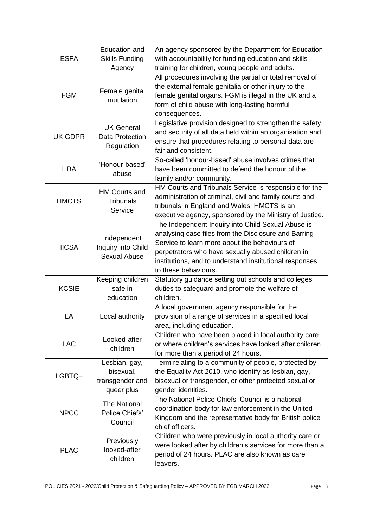| <b>ESFA</b>    | <b>Education and</b><br><b>Skills Funding</b>               | An agency sponsored by the Department for Education<br>with accountability for funding education and skills                                                                                                                                                                                         |
|----------------|-------------------------------------------------------------|-----------------------------------------------------------------------------------------------------------------------------------------------------------------------------------------------------------------------------------------------------------------------------------------------------|
|                | Agency                                                      | training for children, young people and adults.                                                                                                                                                                                                                                                     |
| <b>FGM</b>     | Female genital<br>mutilation                                | All procedures involving the partial or total removal of<br>the external female genitalia or other injury to the<br>female genital organs. FGM is illegal in the UK and a<br>form of child abuse with long-lasting harmful<br>consequences.                                                         |
| <b>UK GDPR</b> | <b>UK General</b><br><b>Data Protection</b><br>Regulation   | Legislative provision designed to strengthen the safety<br>and security of all data held within an organisation and<br>ensure that procedures relating to personal data are<br>fair and consistent.                                                                                                 |
| <b>HBA</b>     | 'Honour-based'<br>abuse                                     | So-called 'honour-based' abuse involves crimes that<br>have been committed to defend the honour of the<br>family and/or community.                                                                                                                                                                  |
| <b>HMCTS</b>   | <b>HM Courts and</b><br><b>Tribunals</b><br>Service         | HM Courts and Tribunals Service is responsible for the<br>administration of criminal, civil and family courts and<br>tribunals in England and Wales. HMCTS is an<br>executive agency, sponsored by the Ministry of Justice.                                                                         |
| <b>IICSA</b>   | Independent<br>Inquiry into Child<br><b>Sexual Abuse</b>    | The Independent Inquiry into Child Sexual Abuse is<br>analysing case files from the Disclosure and Barring<br>Service to learn more about the behaviours of<br>perpetrators who have sexually abused children in<br>institutions, and to understand institutional responses<br>to these behaviours. |
| <b>KCSIE</b>   | Keeping children<br>safe in<br>education                    | Statutory guidance setting out schools and colleges'<br>duties to safeguard and promote the welfare of<br>children.                                                                                                                                                                                 |
| LA             | Local authority                                             | A local government agency responsible for the<br>provision of a range of services in a specified local<br>area, including education.                                                                                                                                                                |
| <b>LAC</b>     | Looked-after<br>children                                    | Children who have been placed in local authority care<br>or where children's services have looked after children<br>for more than a period of 24 hours.                                                                                                                                             |
| LGBTQ+         | Lesbian, gay,<br>bisexual,<br>transgender and<br>queer plus | Term relating to a community of people, protected by<br>the Equality Act 2010, who identify as lesbian, gay,<br>bisexual or transgender, or other protected sexual or<br>gender identities.                                                                                                         |
| <b>NPCC</b>    | <b>The National</b><br>Police Chiefs'<br>Council            | The National Police Chiefs' Council is a national<br>coordination body for law enforcement in the United<br>Kingdom and the representative body for British police<br>chief officers.                                                                                                               |
| <b>PLAC</b>    | Previously<br>looked-after<br>children                      | Children who were previously in local authority care or<br>were looked after by children's services for more than a<br>period of 24 hours. PLAC are also known as care<br>leavers.                                                                                                                  |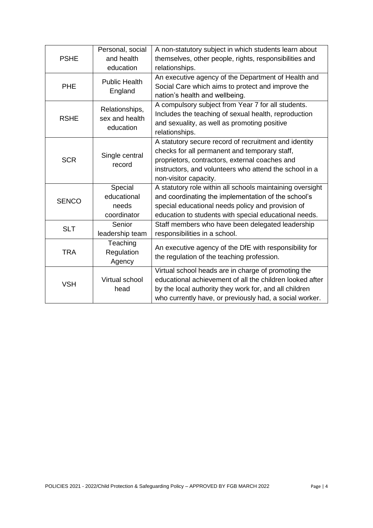|                                               | A non-statutory subject in which students learn about                                                                                                          |
|-----------------------------------------------|----------------------------------------------------------------------------------------------------------------------------------------------------------------|
|                                               | themselves, other people, rights, responsibilities and                                                                                                         |
|                                               | relationships.                                                                                                                                                 |
| <b>Public Health</b><br>England               | An executive agency of the Department of Health and                                                                                                            |
|                                               | Social Care which aims to protect and improve the                                                                                                              |
|                                               | nation's health and wellbeing.                                                                                                                                 |
| Relationships,<br>sex and health<br>education | A compulsory subject from Year 7 for all students.                                                                                                             |
|                                               | Includes the teaching of sexual health, reproduction                                                                                                           |
|                                               | and sexuality, as well as promoting positive                                                                                                                   |
|                                               | relationships.                                                                                                                                                 |
|                                               | A statutory secure record of recruitment and identity                                                                                                          |
| Single central<br>record                      | checks for all permanent and temporary staff,                                                                                                                  |
|                                               | proprietors, contractors, external coaches and                                                                                                                 |
|                                               | instructors, and volunteers who attend the school in a                                                                                                         |
|                                               | non-visitor capacity.                                                                                                                                          |
|                                               | A statutory role within all schools maintaining oversight                                                                                                      |
|                                               | and coordinating the implementation of the school's                                                                                                            |
|                                               | special educational needs policy and provision of                                                                                                              |
|                                               | education to students with special educational needs.                                                                                                          |
|                                               | Staff members who have been delegated leadership                                                                                                               |
|                                               |                                                                                                                                                                |
|                                               | responsibilities in a school.                                                                                                                                  |
|                                               | An executive agency of the DfE with responsibility for                                                                                                         |
|                                               | the regulation of the teaching profession.                                                                                                                     |
|                                               |                                                                                                                                                                |
|                                               | Virtual school heads are in charge of promoting the                                                                                                            |
| Virtual school                                | educational achievement of all the children looked after                                                                                                       |
| head                                          | by the local authority they work for, and all children                                                                                                         |
|                                               | who currently have, or previously had, a social worker.                                                                                                        |
|                                               | Personal, social<br>and health<br>education<br>Special<br>educational<br>needs<br>coordinator<br>Senior<br>leadership team<br>Teaching<br>Regulation<br>Agency |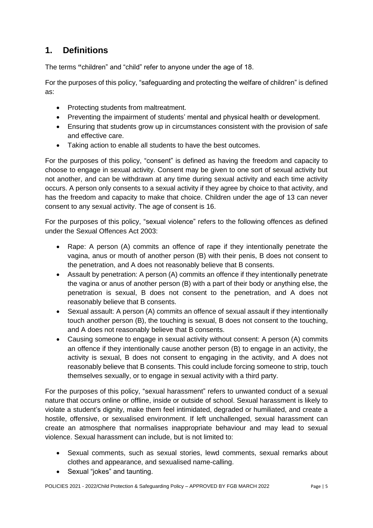# <span id="page-6-0"></span>**1. Definitions**

The terms **"**children" and "child" refer to anyone under the age of 18.

For the purposes of this policy, "safeguarding and protecting the welfare of children" is defined as:

- Protecting students from maltreatment.
- Preventing the impairment of students' mental and physical health or development.
- Ensuring that students grow up in circumstances consistent with the provision of safe and effective care.
- Taking action to enable all students to have the best outcomes.

For the purposes of this policy, "consent" is defined as having the freedom and capacity to choose to engage in sexual activity. Consent may be given to one sort of sexual activity but not another, and can be withdrawn at any time during sexual activity and each time activity occurs. A person only consents to a sexual activity if they agree by choice to that activity, and has the freedom and capacity to make that choice. Children under the age of 13 can never consent to any sexual activity. The age of consent is 16.

For the purposes of this policy, "sexual violence" refers to the following offences as defined under the Sexual Offences Act 2003:

- Rape: A person (A) commits an offence of rape if they intentionally penetrate the vagina, anus or mouth of another person (B) with their penis, B does not consent to the penetration, and A does not reasonably believe that B consents.
- Assault by penetration: A person (A) commits an offence if they intentionally penetrate the vagina or anus of another person (B) with a part of their body or anything else, the penetration is sexual, B does not consent to the penetration, and A does not reasonably believe that B consents.
- Sexual assault: A person (A) commits an offence of sexual assault if they intentionally touch another person (B), the touching is sexual, B does not consent to the touching, and A does not reasonably believe that B consents.
- Causing someone to engage in sexual activity without consent: A person (A) commits an offence if they intentionally cause another person (B) to engage in an activity, the activity is sexual, B does not consent to engaging in the activity, and A does not reasonably believe that B consents. This could include forcing someone to strip, touch themselves sexually, or to engage in sexual activity with a third party.

For the purposes of this policy, "sexual harassment" refers to unwanted conduct of a sexual nature that occurs online or offline, inside or outside of school. Sexual harassment is likely to violate a student's dignity, make them feel intimidated, degraded or humiliated, and create a hostile, offensive, or sexualised environment. If left unchallenged, sexual harassment can create an atmosphere that normalises inappropriate behaviour and may lead to sexual violence. Sexual harassment can include, but is not limited to:

- Sexual comments, such as sexual stories, lewd comments, sexual remarks about clothes and appearance, and sexualised name-calling.
- Sexual "jokes" and taunting.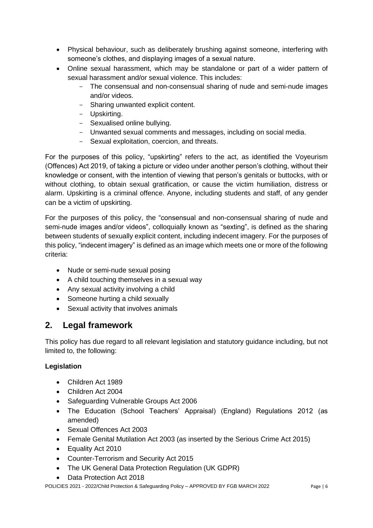- Physical behaviour, such as deliberately brushing against someone, interfering with someone's clothes, and displaying images of a sexual nature.
- Online sexual harassment, which may be standalone or part of a wider pattern of sexual harassment and/or sexual violence. This includes:
	- The consensual and non-consensual sharing of nude and semi-nude images and/or videos.
	- Sharing unwanted explicit content.
	- Upskirting.
	- Sexualised online bullying.
	- Unwanted sexual comments and messages, including on social media.
	- Sexual exploitation, coercion, and threats.

For the purposes of this policy, "upskirting" refers to the act, as identified the Voyeurism (Offences) Act 2019, of taking a picture or video under another person's clothing, without their knowledge or consent, with the intention of viewing that person's genitals or buttocks, with or without clothing, to obtain sexual gratification, or cause the victim humiliation, distress or alarm. Upskirting is a criminal offence. Anyone, including students and staff, of any gender can be a victim of upskirting.

For the purposes of this policy, the "consensual and non-consensual sharing of nude and semi-nude images and/or videos", colloquially known as "sexting", is defined as the sharing between students of sexually explicit content, including indecent imagery. For the purposes of this policy, "indecent imagery" is defined as an image which meets one or more of the following criteria:

- Nude or semi-nude sexual posing
- A child touching themselves in a sexual way
- Any sexual activity involving a child
- Someone hurting a child sexually
- Sexual activity that involves animals

# <span id="page-7-0"></span>**2. Legal framework**

This policy has due regard to all relevant legislation and statutory guidance including, but not limited to, the following:

#### **Legislation**

- Children Act 1989
- Children Act 2004
- Safeguarding Vulnerable Groups Act 2006
- The Education (School Teachers' Appraisal) (England) Regulations 2012 (as amended)
- Sexual Offences Act 2003
- Female Genital Mutilation Act 2003 (as inserted by the Serious Crime Act 2015)
- Equality Act 2010
- Counter-Terrorism and Security Act 2015
- The UK General Data Protection Regulation (UK GDPR)
- Data Protection Act 2018

POLICIES 2021 - 2022/Child Protection & Safeguarding Policy – APPROVED BY FGB MARCH 2022 Page | 6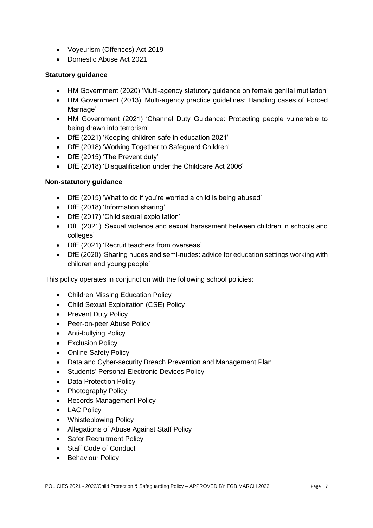- Voyeurism (Offences) Act 2019
- Domestic Abuse Act 2021

#### **Statutory guidance**

- HM Government (2020) 'Multi-agency statutory guidance on female genital mutilation'
- HM Government (2013) 'Multi-agency practice guidelines: Handling cases of Forced Marriage'
- HM Government (2021) 'Channel Duty Guidance: Protecting people vulnerable to being drawn into terrorism'
- DfE (2021) 'Keeping children safe in education 2021'
- DfE (2018) 'Working Together to Safeguard Children'
- DfE (2015) 'The Prevent duty'
- DfE (2018) 'Disqualification under the Childcare Act 2006'

#### **Non-statutory guidance**

- DfE (2015) 'What to do if you're worried a child is being abused'
- DfE (2018) 'Information sharing'
- DfE (2017) 'Child sexual exploitation'
- DfE (2021) 'Sexual violence and sexual harassment between children in schools and colleges'
- DfE (2021) 'Recruit teachers from overseas'
- DfE (2020) 'Sharing nudes and semi-nudes: advice for education settings working with children and young people'

This policy operates in conjunction with the following school policies:

- Children Missing Education Policy
- Child Sexual Exploitation (CSE) Policy
- Prevent Duty Policy
- Peer-on-peer Abuse Policy
- Anti-bullying Policy
- Exclusion Policy
- Online Safety Policy
- Data and Cyber-security Breach Prevention and Management Plan
- Students' Personal Electronic Devices Policy
- Data Protection Policy
- Photography Policy
- Records Management Policy
- LAC Policy
- Whistleblowing Policy
- Allegations of Abuse Against Staff Policy
- Safer Recruitment Policy
- Staff Code of Conduct
- Behaviour Policy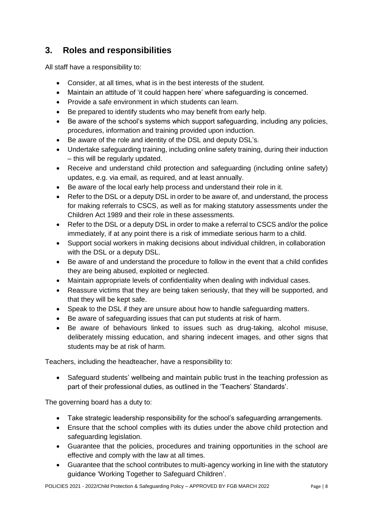# <span id="page-9-0"></span>**3. Roles and responsibilities**

All staff have a responsibility to:

- Consider, at all times, what is in the best interests of the student.
- Maintain an attitude of 'it could happen here' where safeguarding is concerned.
- Provide a safe environment in which students can learn.
- Be prepared to identify students who may benefit from early help.
- Be aware of the school's systems which support safeguarding, including any policies, procedures, information and training provided upon induction.
- Be aware of the role and identity of the DSL and deputy DSL's.
- Undertake safeguarding training, including online safety training, during their induction – this will be regularly updated.
- Receive and understand child protection and safeguarding (including online safety) updates, e.g. via email, as required, and at least annually.
- Be aware of the local early help process and understand their role in it.
- Refer to the DSL or a deputy DSL in order to be aware of, and understand, the process for making referrals to CSCS, as well as for making statutory assessments under the Children Act 1989 and their role in these assessments.
- Refer to the DSL or a deputy DSL in order to make a referral to CSCS and/or the police immediately, if at any point there is a risk of immediate serious harm to a child.
- Support social workers in making decisions about individual children, in collaboration with the DSL or a deputy DSL.
- Be aware of and understand the procedure to follow in the event that a child confides they are being abused, exploited or neglected.
- Maintain appropriate levels of confidentiality when dealing with individual cases.
- Reassure victims that they are being taken seriously, that they will be supported, and that they will be kept safe.
- Speak to the DSL if they are unsure about how to handle safeguarding matters.
- Be aware of safeguarding issues that can put students at risk of harm.
- Be aware of behaviours linked to issues such as drug-taking, alcohol misuse, deliberately missing education, and sharing indecent images, and other signs that students may be at risk of harm.

Teachers, including the headteacher, have a responsibility to:

• Safeguard students' wellbeing and maintain public trust in the teaching profession as part of their professional duties, as outlined in the 'Teachers' Standards'.

The governing board has a duty to:

- Take strategic leadership responsibility for the school's safeguarding arrangements.
- Ensure that the school complies with its duties under the above child protection and safeguarding legislation.
- Guarantee that the policies, procedures and training opportunities in the school are effective and comply with the law at all times.
- Guarantee that the school contributes to multi-agency working in line with the statutory guidance ['Working Together to Safeguard Children'](https://www.gov.uk/government/publications/working-together-to-safeguard-children--2).

POLICIES 2021 - 2022/Child Protection & Safeguarding Policy – APPROVED BY FGB MARCH 2022 Page | 8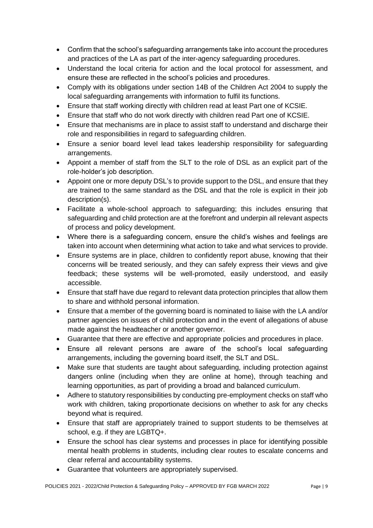- Confirm that the school's safeguarding arrangements take into account the procedures and practices of the LA as part of the inter-agency safeguarding procedures.
- Understand the local criteria for action and the local protocol for assessment, and ensure these are reflected in the school's policies and procedures.
- Comply with its obligations under section 14B of the Children Act 2004 to supply the local safeguarding arrangements with information to fulfil its functions.
- Ensure that staff working directly with children read at least Part one of KCSIE.
- Ensure that staff who do not work directly with children read Part one of KCSIE.
- Ensure that mechanisms are in place to assist staff to understand and discharge their role and responsibilities in regard to safeguarding children.
- Ensure a senior board level lead takes leadership responsibility for safeguarding arrangements.
- Appoint a member of staff from the SLT to the role of DSL as an explicit part of the role-holder's job description.
- Appoint one or more deputy DSL's to provide support to the DSL, and ensure that they are trained to the same standard as the DSL and that the role is explicit in their job description(s).
- Facilitate a whole-school approach to safeguarding; this includes ensuring that safeguarding and child protection are at the forefront and underpin all relevant aspects of process and policy development.
- Where there is a safeguarding concern, ensure the child's wishes and feelings are taken into account when determining what action to take and what services to provide.
- Ensure systems are in place, children to confidently report abuse, knowing that their concerns will be treated seriously, and they can safely express their views and give feedback; these systems will be well-promoted, easily understood, and easily accessible.
- Ensure that staff have due regard to relevant data protection principles that allow them to share and withhold personal information.
- Ensure that a member of the governing board is nominated to liaise with the LA and/or partner agencies on issues of child protection and in the event of allegations of abuse made against the headteacher or another governor.
- Guarantee that there are effective and appropriate policies and procedures in place.
- Ensure all relevant persons are aware of the school's local safeguarding arrangements, including the governing board itself, the SLT and DSL.
- Make sure that students are taught about safeguarding, including protection against dangers online (including when they are online at home), through teaching and learning opportunities, as part of providing a broad and balanced curriculum.
- Adhere to statutory responsibilities by conducting pre-employment checks on staff who work with children, taking proportionate decisions on whether to ask for any checks beyond what is required.
- Ensure that staff are appropriately trained to support students to be themselves at school, e.g. if they are LGBTQ+.
- Ensure the school has clear systems and processes in place for identifying possible mental health problems in students, including clear routes to escalate concerns and clear referral and accountability systems.
- Guarantee that volunteers are appropriately supervised.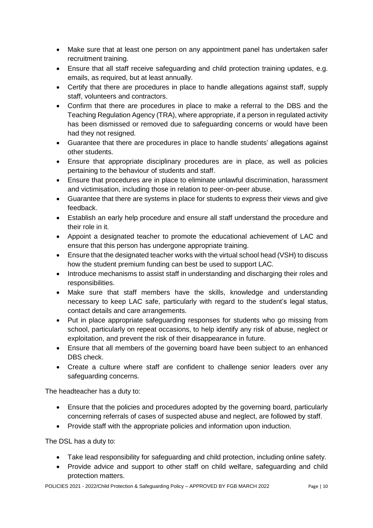- Make sure that at least one person on any appointment panel has undertaken safer recruitment training.
- Ensure that all staff receive safeguarding and child protection training updates, e.g. emails, as required, but at least annually.
- Certify that there are procedures in place to handle allegations against staff, supply staff, volunteers and contractors.
- Confirm that there are procedures in place to make a referral to the DBS and the Teaching Regulation Agency (TRA), where appropriate, if a person in regulated activity has been dismissed or removed due to safeguarding concerns or would have been had they not resigned.
- Guarantee that there are procedures in place to handle students' allegations against other students.
- Ensure that appropriate disciplinary procedures are in place, as well as policies pertaining to the behaviour of students and staff.
- Ensure that procedures are in place to eliminate unlawful discrimination, harassment and victimisation, including those in relation to peer-on-peer abuse.
- Guarantee that there are systems in place for students to express their views and give feedback.
- Establish an early help procedure and ensure all staff understand the procedure and their role in it.
- Appoint a designated teacher to promote the educational achievement of LAC and ensure that this person has undergone appropriate training.
- Ensure that the designated teacher works with the virtual school head (VSH) to discuss how the student premium funding can best be used to support LAC.
- Introduce mechanisms to assist staff in understanding and discharging their roles and responsibilities.
- Make sure that staff members have the skills, knowledge and understanding necessary to keep LAC safe, particularly with regard to the student's legal status, contact details and care arrangements.
- Put in place appropriate safeguarding responses for students who go missing from school, particularly on repeat occasions, to help identify any risk of abuse, neglect or exploitation, and prevent the risk of their disappearance in future.
- Ensure that all members of the governing board have been subject to an enhanced DBS check.
- Create a culture where staff are confident to challenge senior leaders over any safeguarding concerns.

The headteacher has a duty to:

- Ensure that the policies and procedures adopted by the governing board, particularly concerning referrals of cases of suspected abuse and neglect, are followed by staff.
- Provide staff with the appropriate policies and information upon induction.

The DSL has a duty to:

- Take lead responsibility for safeguarding and child protection, including online safety.
- Provide advice and support to other staff on child welfare, safeguarding and child protection matters.

POLICIES 2021 - 2022/Child Protection & Safeguarding Policy – APPROVED BY FGB MARCH 2022 Page | 10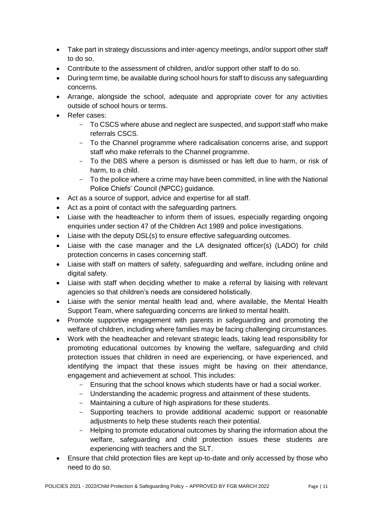- Take part in strategy discussions and inter-agency meetings, and/or support other staff to do so.
- Contribute to the assessment of children, and/or support other staff to do so.
- During term time, be available during school hours for staff to discuss any safeguarding concerns.
- Arrange, alongside the school, adequate and appropriate cover for any activities outside of school hours or terms.
- Refer cases:
	- To CSCS where abuse and neglect are suspected, and support staff who make referrals CSCS.
	- To the Channel programme where radicalisation concerns arise, and support staff who make referrals to the Channel programme.
	- To the DBS where a person is dismissed or has left due to harm, or risk of harm, to a child.
	- To the police where a crime may have been committed, in line with the National Police Chiefs' Council (NPCC) guidance.
- Act as a source of support, advice and expertise for all staff.
- Act as a point of contact with the safeguarding partners.
- Liaise with the headteacher to inform them of issues, especially regarding ongoing enquiries under section 47 of the Children Act 1989 and police investigations.
- Liaise with the deputy DSL(s) to ensure effective safeguarding outcomes.
- Liaise with the case manager and the LA designated officer(s) (LADO) for child protection concerns in cases concerning staff.
- Liaise with staff on matters of safety, safeguarding and welfare, including online and digital safety.
- Liaise with staff when deciding whether to make a referral by liaising with relevant agencies so that children's needs are considered holistically.
- Liaise with the senior mental health lead and, where available, the Mental Health Support Team, where safeguarding concerns are linked to mental health.
- Promote supportive engagement with parents in safeguarding and promoting the welfare of children, including where families may be facing challenging circumstances.
- Work with the headteacher and relevant strategic leads, taking lead responsibility for promoting educational outcomes by knowing the welfare, safeguarding and child protection issues that children in need are experiencing, or have experienced, and identifying the impact that these issues might be having on their attendance, engagement and achievement at school. This includes:
	- Ensuring that the school knows which students have or had a social worker.
	- Understanding the academic progress and attainment of these students.
	- Maintaining a culture of high aspirations for these students.
	- Supporting teachers to provide additional academic support or reasonable adjustments to help these students reach their potential.
	- Helping to promote educational outcomes by sharing the information about the welfare, safeguarding and child protection issues these students are experiencing with teachers and the SLT.
- Ensure that child protection files are kept up-to-date and only accessed by those who need to do so.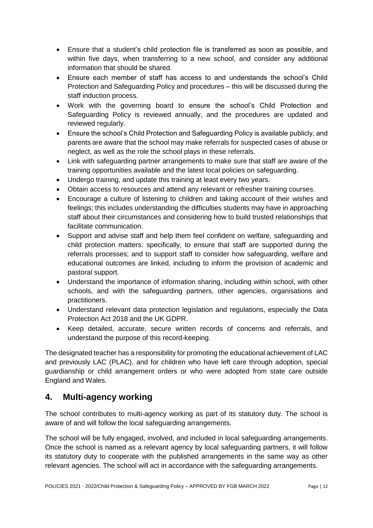- Ensure that a student's child protection file is transferred as soon as possible, and within five days, when transferring to a new school, and consider any additional information that should be shared.
- Ensure each member of staff has access to and understands the school's Child Protection and Safeguarding Policy and procedures – this will be discussed during the staff induction process.
- Work with the governing board to ensure the school's Child Protection and Safeguarding Policy is reviewed annually, and the procedures are updated and reviewed regularly.
- Ensure the school's Child Protection and Safeguarding Policy is available publicly, and parents are aware that the school may make referrals for suspected cases of abuse or neglect, as well as the role the school plays in these referrals.
- Link with safeguarding partner arrangements to make sure that staff are aware of the training opportunities available and the latest local policies on safeguarding.
- Undergo training, and update this training at least every two years.
- Obtain access to resources and attend any relevant or refresher training courses.
- Encourage a culture of listening to children and taking account of their wishes and feelings; this includes understanding the difficulties students may have in approaching staff about their circumstances and considering how to build trusted relationships that facilitate communication.
- Support and advise staff and help them feel confident on welfare, safeguarding and child protection matters: specifically, to ensure that staff are supported during the referrals processes; and to support staff to consider how safeguarding, welfare and educational outcomes are linked, including to inform the provision of academic and pastoral support.
- Understand the importance of information sharing, including within school, with other schools, and with the safeguarding partners, other agencies, organisations and practitioners.
- Understand relevant data protection legislation and regulations, especially the Data Protection Act 2018 and the UK GDPR.
- Keep detailed, accurate, secure written records of concerns and referrals, and understand the purpose of this record-keeping.

The designated teacher has a responsibility for promoting the educational achievement of LAC and previously LAC (PLAC), and for children who have left care through adoption, special guardianship or child arrangement orders or who were adopted from state care outside England and Wales.

# <span id="page-13-0"></span>**4. Multi-agency working**

The school contributes to multi-agency working as part of its statutory duty. The school is aware of and will follow the local safeguarding arrangements.

The school will be fully engaged, involved, and included in local safeguarding arrangements. Once the school is named as a relevant agency by local safeguarding partners, it will follow its statutory duty to cooperate with the published arrangements in the same way as other relevant agencies. The school will act in accordance with the safeguarding arrangements.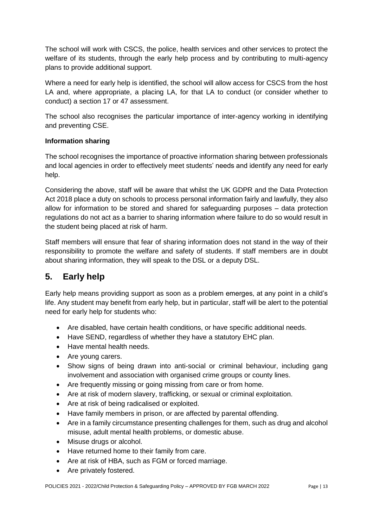The school will work with CSCS, the police, health services and other services to protect the welfare of its students, through the early help process and by contributing to multi-agency plans to provide additional support.

Where a need for early help is identified, the school will allow access for CSCS from the host LA and, where appropriate, a placing LA, for that LA to conduct (or consider whether to conduct) a section 17 or 47 assessment.

The school also recognises the particular importance of inter-agency working in identifying and preventing CSE.

#### **Information sharing**

The school recognises the importance of proactive information sharing between professionals and local agencies in order to effectively meet students' needs and identify any need for early help.

Considering the above, staff will be aware that whilst the UK GDPR and the Data Protection Act 2018 place a duty on schools to process personal information fairly and lawfully, they also allow for information to be stored and shared for safeguarding purposes – data protection regulations do not act as a barrier to sharing information where failure to do so would result in the student being placed at risk of harm.

Staff members will ensure that fear of sharing information does not stand in the way of their responsibility to promote the welfare and safety of students. If staff members are in doubt about sharing information, they will speak to the DSL or a deputy DSL.

# <span id="page-14-0"></span>**5. Early help**

Early help means providing support as soon as a problem emerges, at any point in a child's life. Any student may benefit from early help, but in particular, staff will be alert to the potential need for early help for students who:

- Are disabled, have certain health conditions, or have specific additional needs.
- Have SEND, regardless of whether they have a statutory EHC plan.
- Have mental health needs.
- Are young carers.
- Show signs of being drawn into anti-social or criminal behaviour, including gang involvement and association with organised crime groups or county lines.
- Are frequently missing or going missing from care or from home.
- Are at risk of modern slavery, trafficking, or sexual or criminal exploitation.
- Are at risk of being radicalised or exploited.
- Have family members in prison, or are affected by parental offending.
- Are in a family circumstance presenting challenges for them, such as drug and alcohol misuse, adult mental health problems, or domestic abuse.
- Misuse drugs or alcohol.
- Have returned home to their family from care.
- Are at risk of HBA, such as FGM or forced marriage.
- Are privately fostered.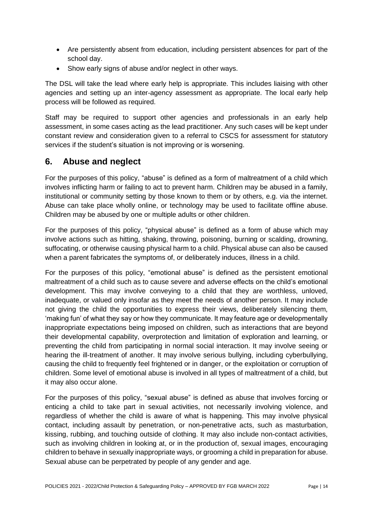- Are persistently absent from education, including persistent absences for part of the school day.
- Show early signs of abuse and/or neglect in other ways.

The DSL will take the lead where early help is appropriate. This includes liaising with other agencies and setting up an inter-agency assessment as appropriate. The local early help process will be followed as required.

Staff may be required to support other agencies and professionals in an early help assessment, in some cases acting as the lead practitioner. Any such cases will be kept under constant review and consideration given to a referral to CSCS for assessment for statutory services if the student's situation is not improving or is worsening.

### <span id="page-15-0"></span>**6. Abuse and neglect**

For the purposes of this policy, "abuse" is defined as a form of maltreatment of a child which involves inflicting harm or failing to act to prevent harm. Children may be abused in a family, institutional or community setting by those known to them or by others, e.g. via the internet. Abuse can take place wholly online, or technology may be used to facilitate offline abuse. Children may be abused by one or multiple adults or other children.

For the purposes of this policy, "physical abuse" is defined as a form of abuse which may involve actions such as hitting, shaking, throwing, poisoning, burning or scalding, drowning, suffocating, or otherwise causing physical harm to a child. Physical abuse can also be caused when a parent fabricates the symptoms of, or deliberately induces, illness in a child.

For the purposes of this policy, "emotional abuse" is defined as the persistent emotional maltreatment of a child such as to cause severe and adverse effects on the child's emotional development. This may involve conveying to a child that they are worthless, unloved, inadequate, or valued only insofar as they meet the needs of another person. It may include not giving the child the opportunities to express their views, deliberately silencing them, 'making fun' of what they say or how they communicate. It may feature age or developmentally inappropriate expectations being imposed on children, such as interactions that are beyond their developmental capability, overprotection and limitation of exploration and learning, or preventing the child from participating in normal social interaction. It may involve seeing or hearing the ill-treatment of another. It may involve serious bullying, including cyberbullying, causing the child to frequently feel frightened or in danger, or the exploitation or corruption of children. Some level of emotional abuse is involved in all types of maltreatment of a child, but it may also occur alone.

For the purposes of this policy, "sexual abuse" is defined as abuse that involves forcing or enticing a child to take part in sexual activities, not necessarily involving violence, and regardless of whether the child is aware of what is happening. This may involve physical contact, including assault by penetration, or non-penetrative acts, such as masturbation, kissing, rubbing, and touching outside of clothing. It may also include non-contact activities, such as involving children in looking at, or in the production of, sexual images, encouraging children to behave in sexually inappropriate ways, or grooming a child in preparation for abuse. Sexual abuse can be perpetrated by people of any gender and age.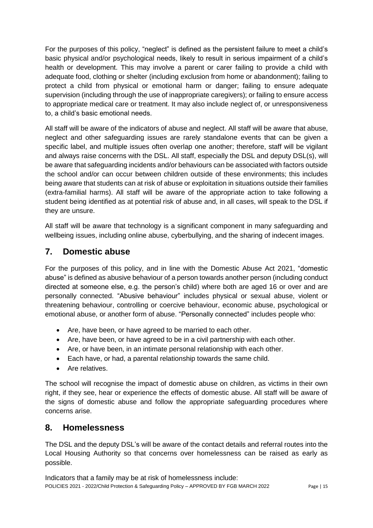For the purposes of this policy, "neglect" is defined as the persistent failure to meet a child's basic physical and/or psychological needs, likely to result in serious impairment of a child's health or development. This may involve a parent or carer failing to provide a child with adequate food, clothing or shelter (including exclusion from home or abandonment); failing to protect a child from physical or emotional harm or danger; failing to ensure adequate supervision (including through the use of inappropriate caregivers); or failing to ensure access to appropriate medical care or treatment. It may also include neglect of, or unresponsiveness to, a child's basic emotional needs.

All staff will be aware of the indicators of abuse and neglect. All staff will be aware that abuse, neglect and other safeguarding issues are rarely standalone events that can be given a specific label, and multiple issues often overlap one another; therefore, staff will be vigilant and always raise concerns with the DSL. All staff, especially the DSL and deputy DSL(s), will be aware that safeguarding incidents and/or behaviours can be associated with factors outside the school and/or can occur between children outside of these environments; this includes being aware that students can at risk of abuse or exploitation in situations outside their families (extra-familial harms). All staff will be aware of the appropriate action to take following a student being identified as at potential risk of abuse and, in all cases, will speak to the DSL if they are unsure.

All staff will be aware that technology is a significant component in many safeguarding and wellbeing issues, including online abuse, cyberbullying, and the sharing of indecent images.

### <span id="page-16-0"></span>**7. Domestic abuse**

For the purposes of this policy, and in line with the Domestic Abuse Act 2021, "domestic abuse" is defined as abusive behaviour of a person towards another person (including conduct directed at someone else, e.g. the person's child) where both are aged 16 or over and are personally connected. "Abusive behaviour" includes physical or sexual abuse, violent or threatening behaviour, controlling or coercive behaviour, economic abuse, psychological or emotional abuse, or another form of abuse. "Personally connected" includes people who:

- Are, have been, or have agreed to be married to each other.
- Are, have been, or have agreed to be in a civil partnership with each other.
- Are, or have been, in an intimate personal relationship with each other.
- Each have, or had, a parental relationship towards the same child.
- Are relatives.

The school will recognise the impact of domestic abuse on children, as victims in their own right, if they see, hear or experience the effects of domestic abuse. All staff will be aware of the signs of domestic abuse and follow the appropriate safeguarding procedures where concerns arise.

### <span id="page-16-1"></span>**8. Homelessness**

The DSL and the deputy DSL's will be aware of the contact details and referral routes into the Local Housing Authority so that concerns over homelessness can be raised as early as possible.

POLICIES 2021 - 2022/Child Protection & Safeguarding Policy – APPROVED BY FGB MARCH 2022 Page | 15 Indicators that a family may be at risk of homelessness include: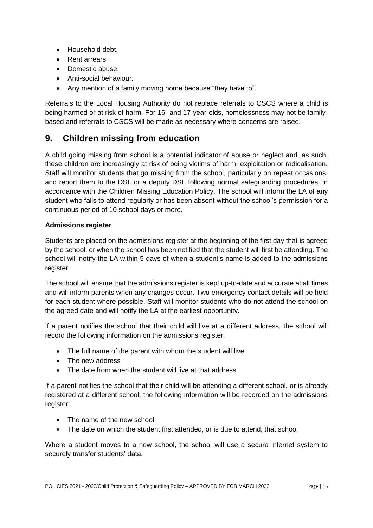- Household debt.
- Rent arrears.
- Domestic abuse.
- Anti-social behaviour.
- Any mention of a family moving home because "they have to".

Referrals to the Local Housing Authority do not replace referrals to CSCS where a child is being harmed or at risk of harm. For 16- and 17-year-olds, homelessness may not be familybased and referrals to CSCS will be made as necessary where concerns are raised.

### <span id="page-17-0"></span>**9. Children missing from education**

A child going missing from school is a potential indicator of abuse or neglect and, as such, these children are increasingly at risk of being victims of harm, exploitation or radicalisation. Staff will monitor students that go missing from the school, particularly on repeat occasions, and report them to the DSL or a deputy DSL following normal safeguarding procedures, in accordance with the Children Missing Education Policy. The school will inform the LA of any student who fails to attend regularly or has been absent without the school's permission for a continuous period of 10 school days or more.

#### **Admissions register**

Students are placed on the admissions register at the beginning of the first day that is agreed by the school, or when the school has been notified that the student will first be attending. The school will notify the LA within 5 days of when a student's name is added to the admissions register.

The school will ensure that the admissions register is kept up-to-date and accurate at all times and will inform parents when any changes occur. Two emergency contact details will be held for each student where possible. Staff will monitor students who do not attend the school on the agreed date and will notify the LA at the earliest opportunity.

If a parent notifies the school that their child will live at a different address, the school will record the following information on the admissions register:

- The full name of the parent with whom the student will live
- The new address
- The date from when the student will live at that address

If a parent notifies the school that their child will be attending a different school, or is already registered at a different school, the following information will be recorded on the admissions register:

- The name of the new school
- The date on which the student first attended, or is due to attend, that school

Where a student moves to a new school, the school will use a secure internet system to securely transfer students' data.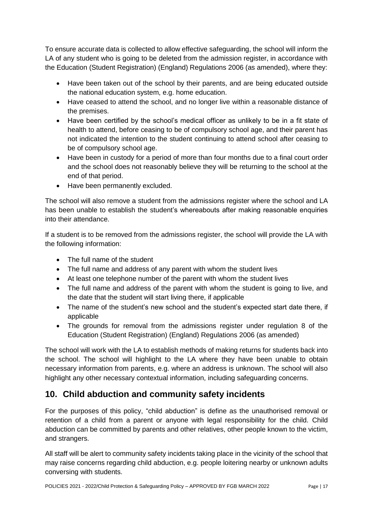To ensure accurate data is collected to allow effective safeguarding, the school will inform the LA of any student who is going to be deleted from the admission register, in accordance with the Education (Student Registration) (England) Regulations 2006 (as amended), where they:

- Have been taken out of the school by their parents, and are being educated outside the national education system, e.g. home education.
- Have ceased to attend the school, and no longer live within a reasonable distance of the premises.
- Have been certified by the school's medical officer as unlikely to be in a fit state of health to attend, before ceasing to be of compulsory school age, and their parent has not indicated the intention to the student continuing to attend school after ceasing to be of compulsory school age.
- Have been in custody for a period of more than four months due to a final court order and the school does not reasonably believe they will be returning to the school at the end of that period.
- Have been permanently excluded.

The school will also remove a student from the admissions register where the school and LA has been unable to establish the student's whereabouts after making reasonable enquiries into their attendance.

If a student is to be removed from the admissions register, the school will provide the LA with the following information:

- The full name of the student
- The full name and address of any parent with whom the student lives
- At least one telephone number of the parent with whom the student lives
- The full name and address of the parent with whom the student is going to live, and the date that the student will start living there, if applicable
- The name of the student's new school and the student's expected start date there, if applicable
- The grounds for removal from the admissions register under regulation 8 of the Education (Student Registration) (England) Regulations 2006 (as amended)

The school will work with the LA to establish methods of making returns for students back into the school. The school will highlight to the LA where they have been unable to obtain necessary information from parents, e.g. where an address is unknown. The school will also highlight any other necessary contextual information, including safeguarding concerns.

# <span id="page-18-0"></span>**10. Child abduction and community safety incidents**

For the purposes of this policy, "child abduction" is define as the unauthorised removal or retention of a child from a parent or anyone with legal responsibility for the child. Child abduction can be committed by parents and other relatives, other people known to the victim, and strangers.

All staff will be alert to community safety incidents taking place in the vicinity of the school that may raise concerns regarding child abduction, e.g. people loitering nearby or unknown adults conversing with students.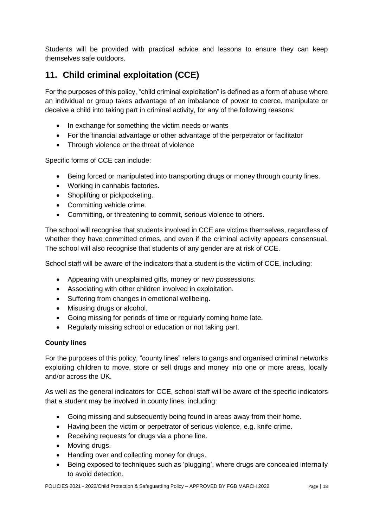Students will be provided with practical advice and lessons to ensure they can keep themselves safe outdoors.

# <span id="page-19-0"></span>**11. Child criminal exploitation (CCE)**

For the purposes of this policy, "child criminal exploitation" is defined as a form of abuse where an individual or group takes advantage of an imbalance of power to coerce, manipulate or deceive a child into taking part in criminal activity, for any of the following reasons:

- In exchange for something the victim needs or wants
- For the financial advantage or other advantage of the perpetrator or facilitator
- Through violence or the threat of violence

Specific forms of CCE can include:

- Being forced or manipulated into transporting drugs or money through county lines.
- Working in cannabis factories.
- Shoplifting or pickpocketing.
- Committing vehicle crime.
- Committing, or threatening to commit, serious violence to others.

The school will recognise that students involved in CCE are victims themselves, regardless of whether they have committed crimes, and even if the criminal activity appears consensual. The school will also recognise that students of any gender are at risk of CCE.

School staff will be aware of the indicators that a student is the victim of CCE, including:

- Appearing with unexplained gifts, money or new possessions.
- Associating with other children involved in exploitation.
- Suffering from changes in emotional wellbeing.
- Misusing drugs or alcohol.
- Going missing for periods of time or regularly coming home late.
- Regularly missing school or education or not taking part.

#### **County lines**

For the purposes of this policy, "county lines" refers to gangs and organised criminal networks exploiting children to move, store or sell drugs and money into one or more areas, locally and/or across the UK.

As well as the general indicators for CCE, school staff will be aware of the specific indicators that a student may be involved in county lines, including:

- Going missing and subsequently being found in areas away from their home.
- Having been the victim or perpetrator of serious violence, e.g. knife crime.
- Receiving requests for drugs via a phone line.
- Moving drugs.
- Handing over and collecting money for drugs.
- Being exposed to techniques such as 'plugging', where drugs are concealed internally to avoid detection.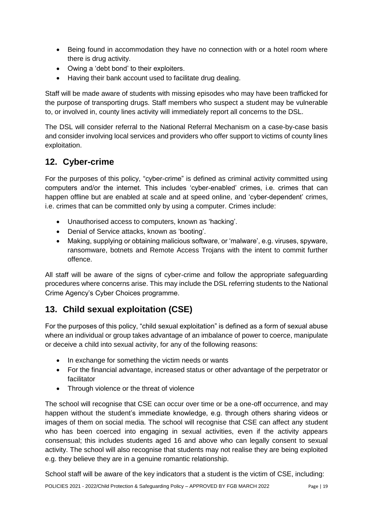- Being found in accommodation they have no connection with or a hotel room where there is drug activity.
- Owing a 'debt bond' to their exploiters.
- Having their bank account used to facilitate drug dealing.

Staff will be made aware of students with missing episodes who may have been trafficked for the purpose of transporting drugs. Staff members who suspect a student may be vulnerable to, or involved in, county lines activity will immediately report all concerns to the DSL.

The DSL will consider referral to the National Referral Mechanism on a case-by-case basis and consider involving local services and providers who offer support to victims of county lines exploitation.

# <span id="page-20-0"></span>**12. Cyber-crime**

For the purposes of this policy, "cyber-crime" is defined as criminal activity committed using computers and/or the internet. This includes 'cyber-enabled' crimes, i.e. crimes that can happen offline but are enabled at scale and at speed online, and 'cyber-dependent' crimes, i.e. crimes that can be committed only by using a computer. Crimes include:

- Unauthorised access to computers, known as 'hacking'.
- Denial of Service attacks, known as 'booting'.
- Making, supplying or obtaining malicious software, or 'malware', e.g. viruses, spyware, ransomware, botnets and Remote Access Trojans with the intent to commit further offence.

All staff will be aware of the signs of cyber-crime and follow the appropriate safeguarding procedures where concerns arise. This may include the DSL referring students to the National Crime Agency's Cyber Choices programme.

# <span id="page-20-1"></span>**13. Child sexual exploitation (CSE)**

For the purposes of this policy, "child sexual exploitation" is defined as a form of sexual abuse where an individual or group takes advantage of an imbalance of power to coerce, manipulate or deceive a child into sexual activity, for any of the following reasons:

- In exchange for something the victim needs or wants
- For the financial advantage, increased status or other advantage of the perpetrator or facilitator
- Through violence or the threat of violence

The school will recognise that CSE can occur over time or be a one-off occurrence, and may happen without the student's immediate knowledge, e.g. through others sharing videos or images of them on social media. The school will recognise that CSE can affect any student who has been coerced into engaging in sexual activities, even if the activity appears consensual; this includes students aged 16 and above who can legally consent to sexual activity. The school will also recognise that students may not realise they are being exploited e.g. they believe they are in a genuine romantic relationship.

School staff will be aware of the key indicators that a student is the victim of CSE, including: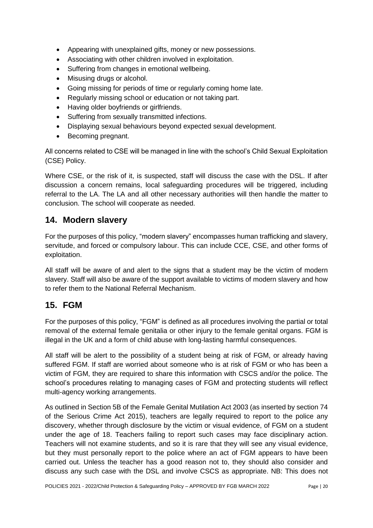- Appearing with unexplained gifts, money or new possessions.
- Associating with other children involved in exploitation.
- Suffering from changes in emotional wellbeing.
- Misusing drugs or alcohol.
- Going missing for periods of time or regularly coming home late.
- Regularly missing school or education or not taking part.
- Having older boyfriends or girlfriends.
- Suffering from sexually transmitted infections.
- Displaying sexual behaviours beyond expected sexual development.
- Becoming pregnant.

All concerns related to CSE will be managed in line with the school's Child Sexual Exploitation (CSE) Policy.

Where CSE, or the risk of it, is suspected, staff will discuss the case with the DSL. If after discussion a concern remains, local safeguarding procedures will be triggered, including referral to the LA. The LA and all other necessary authorities will then handle the matter to conclusion. The school will cooperate as needed.

### <span id="page-21-0"></span>**14. Modern slavery**

For the purposes of this policy, "modern slavery" encompasses human trafficking and slavery, servitude, and forced or compulsory labour. This can include CCE, CSE, and other forms of exploitation.

All staff will be aware of and alert to the signs that a student may be the victim of modern slavery. Staff will also be aware of the support available to victims of modern slavery and how to refer them to the National Referral Mechanism.

### <span id="page-21-1"></span>**15. FGM**

For the purposes of this policy, "FGM" is defined as all procedures involving the partial or total removal of the external female genitalia or other injury to the female genital organs. FGM is illegal in the UK and a form of child abuse with long-lasting harmful consequences.

All staff will be alert to the possibility of a student being at risk of FGM, or already having suffered FGM. If staff are worried about someone who is at risk of FGM or who has been a victim of FGM, they are required to share this information with CSCS and/or the police. The school's procedures relating to managing cases of FGM and protecting students will reflect multi-agency working arrangements.

As outlined in Section 5B of the Female Genital Mutilation Act 2003 (as inserted by section 74 of the Serious Crime Act 2015), teachers are legally required to report to the police any discovery, whether through disclosure by the victim or visual evidence, of FGM on a student under the age of 18. Teachers failing to report such cases may face disciplinary action. Teachers will not examine students, and so it is rare that they will see any visual evidence, but they must personally report to the police where an act of FGM appears to have been carried out. Unless the teacher has a good reason not to, they should also consider and discuss any such case with the DSL and involve CSCS as appropriate. NB: This does not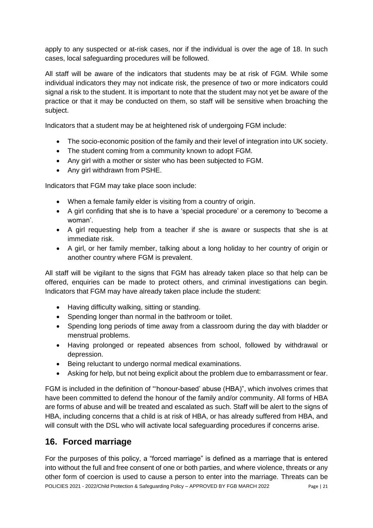apply to any suspected or at-risk cases, nor if the individual is over the age of 18. In such cases, local safeguarding procedures will be followed.

All staff will be aware of the indicators that students may be at risk of FGM. While some individual indicators they may not indicate risk, the presence of two or more indicators could signal a risk to the student. It is important to note that the student may not yet be aware of the practice or that it may be conducted on them, so staff will be sensitive when broaching the subject.

Indicators that a student may be at heightened risk of undergoing FGM include:

- The socio-economic position of the family and their level of integration into UK society.
- The student coming from a community known to adopt FGM.
- Any girl with a mother or sister who has been subjected to FGM.
- Any girl withdrawn from PSHE.

Indicators that FGM may take place soon include:

- When a female family elder is visiting from a country of origin.
- A girl confiding that she is to have a 'special procedure' or a ceremony to 'become a woman'.
- A girl requesting help from a teacher if she is aware or suspects that she is at immediate risk.
- A girl, or her family member, talking about a long holiday to her country of origin or another country where FGM is prevalent.

All staff will be vigilant to the signs that FGM has already taken place so that help can be offered, enquiries can be made to protect others, and criminal investigations can begin. Indicators that FGM may have already taken place include the student:

- Having difficulty walking, sitting or standing.
- Spending longer than normal in the bathroom or toilet.
- Spending long periods of time away from a classroom during the day with bladder or menstrual problems.
- Having prolonged or repeated absences from school, followed by withdrawal or depression.
- Being reluctant to undergo normal medical examinations.
- Asking for help, but not being explicit about the problem due to embarrassment or fear.

FGM is included in the definition of "'honour-based' abuse (HBA)", which involves crimes that have been committed to defend the honour of the family and/or community. All forms of HBA are forms of abuse and will be treated and escalated as such. Staff will be alert to the signs of HBA, including concerns that a child is at risk of HBA, or has already suffered from HBA, and will consult with the DSL who will activate local safeguarding procedures if concerns arise.

# <span id="page-22-0"></span>**16. Forced marriage**

POLICIES 2021 - 2022/Child Protection & Safeguarding Policy – APPROVED BY FGB MARCH 2022 Page | 21 For the purposes of this policy, a "forced marriage" is defined as a marriage that is entered into without the full and free consent of one or both parties, and where violence, threats or any other form of coercion is used to cause a person to enter into the marriage. Threats can be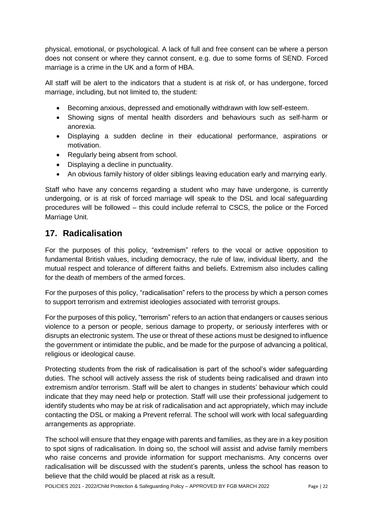physical, emotional, or psychological. A lack of full and free consent can be where a person does not consent or where they cannot consent, e.g. due to some forms of SEND. Forced marriage is a crime in the UK and a form of HBA.

All staff will be alert to the indicators that a student is at risk of, or has undergone, forced marriage, including, but not limited to, the student:

- Becoming anxious, depressed and emotionally withdrawn with low self-esteem.
- Showing signs of mental health disorders and behaviours such as self-harm or anorexia.
- Displaying a sudden decline in their educational performance, aspirations or motivation.
- Regularly being absent from school.
- Displaying a decline in punctuality.
- An obvious family history of older siblings leaving education early and marrying early.

Staff who have any concerns regarding a student who may have undergone, is currently undergoing, or is at risk of forced marriage will speak to the DSL and local safeguarding procedures will be followed – this could include referral to CSCS, the police or the Forced Marriage Unit.

### <span id="page-23-0"></span>**17. Radicalisation**

For the purposes of this policy, "extremism" refers to the vocal or active opposition to fundamental British values, including democracy, the rule of law, individual liberty, and the mutual respect and tolerance of different faiths and beliefs. Extremism also includes calling for the death of members of the armed forces.

For the purposes of this policy, "radicalisation" refers to the process by which a person comes to support terrorism and extremist ideologies associated with terrorist groups.

For the purposes of this policy, "terrorism" refers to an action that endangers or causes serious violence to a person or people, serious damage to property, or seriously interferes with or disrupts an electronic system. The use or threat of these actions must be designed to influence the government or intimidate the public, and be made for the purpose of advancing a political, religious or ideological cause.

Protecting students from the risk of radicalisation is part of the school's wider safeguarding duties. The school will actively assess the risk of students being radicalised and drawn into extremism and/or terrorism. Staff will be alert to changes in students' behaviour which could indicate that they may need help or protection. Staff will use their professional judgement to identify students who may be at risk of radicalisation and act appropriately, which may include contacting the DSL or making a Prevent referral. The school will work with local safeguarding arrangements as appropriate.

The school will ensure that they engage with parents and families, as they are in a key position to spot signs of radicalisation. In doing so, the school will assist and advise family members who raise concerns and provide information for support mechanisms. Any concerns over radicalisation will be discussed with the student's parents, unless the school has reason to believe that the child would be placed at risk as a result.

POLICIES 2021 - 2022/Child Protection & Safeguarding Policy – APPROVED BY FGB MARCH 2022 Page | 22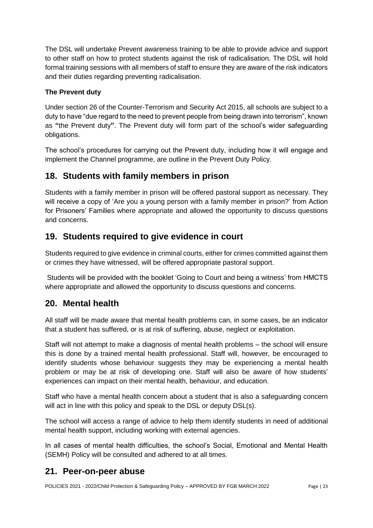The DSL will undertake Prevent awareness training to be able to provide advice and support to other staff on how to protect students against the risk of radicalisation. The DSL will hold formal training sessions with all members of staff to ensure they are aware of the risk indicators and their duties regarding preventing radicalisation.

#### **The Prevent duty**

Under section 26 of the Counter-Terrorism and Security Act 2015, all schools are subject to a duty to have "due regard to the need to prevent people from being drawn into terrorism", known as **"**the Prevent duty**"**. The Prevent duty will form part of the school's wider safeguarding obligations.

The school's procedures for carrying out the Prevent duty, including how it will engage and implement the Channel programme, are outline in the Prevent Duty Policy.

# <span id="page-24-0"></span>**18. Students with family members in prison**

Students with a family member in prison will be offered pastoral support as necessary. They will receive a copy of ['Are you a young person with a family member in prison?'](https://www.nicco.org.uk/directory-of-resources) from Action for Prisoners' Families where appropriate and allowed the opportunity to discuss questions and concerns.

# <span id="page-24-1"></span>**19. Students required to give evidence in court**

Students required to give evidence in criminal courts, either for crimes committed against them or crimes they have witnessed, will be offered appropriate pastoral support.

Students will be provided with the booklet ['Going to Court and being a witness'](https://www.gov.uk/government/publications/young-witness-booklet-for-12-to-17-year-olds) from HMCTS where appropriate and allowed the opportunity to discuss questions and concerns.

### <span id="page-24-2"></span>**20. Mental health**

All staff will be made aware that mental health problems can, in some cases, be an indicator that a student has suffered, or is at risk of suffering, abuse, neglect or exploitation.

Staff will not attempt to make a diagnosis of mental health problems – the school will ensure this is done by a trained mental health professional. Staff will, however, be encouraged to identify students whose behaviour suggests they may be experiencing a mental health problem or may be at risk of developing one. Staff will also be aware of how students' experiences can impact on their mental health, behaviour, and education.

Staff who have a mental health concern about a student that is also a safeguarding concern will act in line with this policy and speak to the DSL or deputy DSL(s).

The school will access a range of advice to help them identify students in need of additional mental health support, including working with external agencies.

In all cases of mental health difficulties, the school's Social, Emotional and Mental Health (SEMH) Policy will be consulted and adhered to at all times.

### <span id="page-24-3"></span>**21. Peer-on-peer abuse**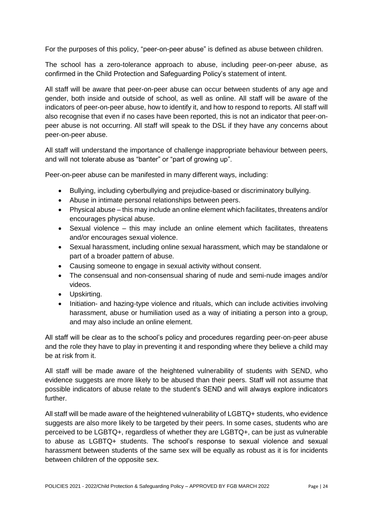For the purposes of this policy, "peer-on-peer abuse" is defined as abuse between children.

The school has a zero-tolerance approach to abuse, including peer-on-peer abuse, as confirmed in the Child Protection and Safeguarding Policy's [statement of intent.](#page-2-0)

All staff will be aware that peer-on-peer abuse can occur between students of any age and gender, both inside and outside of school, as well as online. All staff will be aware of the indicators of peer-on-peer abuse, how to identify it, and how to respond to reports. All staff will also recognise that even if no cases have been reported, this is not an indicator that peer-onpeer abuse is not occurring. All staff will speak to the DSL if they have any concerns about peer-on-peer abuse.

All staff will understand the importance of challenge inappropriate behaviour between peers, and will not tolerate abuse as "banter" or "part of growing up".

Peer-on-peer abuse can be manifested in many different ways, including:

- Bullying, including cyberbullying and prejudice-based or discriminatory bullying.
- Abuse in intimate personal relationships between peers.
- Physical abuse this may include an online element which facilitates, threatens and/or encourages physical abuse.
- Sexual violence this may include an online element which facilitates, threatens and/or encourages sexual violence.
- Sexual harassment, including online sexual harassment, which may be standalone or part of a broader pattern of abuse.
- Causing someone to engage in sexual activity without consent.
- The consensual and non-consensual sharing of nude and semi-nude images and/or videos.
- Upskirting.
- Initiation- and hazing-type violence and rituals, which can include activities involving harassment, abuse or humiliation used as a way of initiating a person into a group, and may also include an online element.

All staff will be clear as to the school's policy and procedures regarding peer-on-peer abuse and the role they have to play in preventing it and responding where they believe a child may be at risk from it.

All staff will be made aware of the heightened vulnerability of students with SEND, who evidence suggests are more likely to be abused than their peers. Staff will not assume that possible indicators of abuse relate to the student's SEND and will always explore indicators further.

All staff will be made aware of the heightened vulnerability of LGBTQ+ students, who evidence suggests are also more likely to be targeted by their peers. In some cases, students who are perceived to be LGBTQ+, regardless of whether they are LGBTQ+, can be just as vulnerable to abuse as LGBTQ+ students. The school's response to sexual violence and sexual harassment between students of the same sex will be equally as robust as it is for incidents between children of the opposite sex.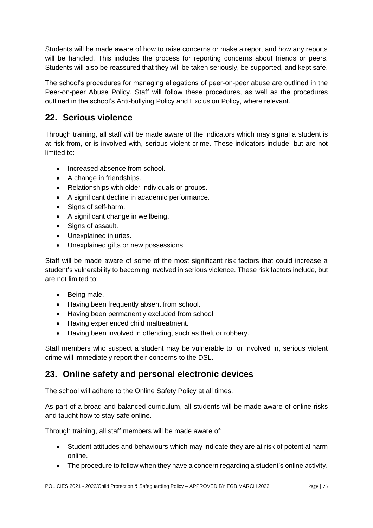Students will be made aware of how to raise concerns or make a report and how any reports will be handled. This includes the process for reporting concerns about friends or peers. Students will also be reassured that they will be taken seriously, be supported, and kept safe.

The school's procedures for managing allegations of peer-on-peer abuse are outlined in the Peer-on-peer Abuse Policy. Staff will follow these procedures, as well as the procedures outlined in the school's Anti-bullying Policy and Exclusion Policy, where relevant.

# <span id="page-26-0"></span>**22. Serious violence**

Through training, all staff will be made aware of the indicators which may signal a student is at risk from, or is involved with, serious violent crime. These indicators include, but are not limited to:

- Increased absence from school.
- A change in friendships.
- Relationships with older individuals or groups.
- A significant decline in academic performance.
- Signs of self-harm.
- A significant change in wellbeing.
- Signs of assault.
- Unexplained injuries.
- Unexplained gifts or new possessions.

Staff will be made aware of some of the most significant risk factors that could increase a student's vulnerability to becoming involved in serious violence. These risk factors include, but are not limited to:

- Being male.
- Having been frequently absent from school.
- Having been permanently excluded from school.
- Having experienced child maltreatment.
- Having been involved in offending, such as theft or robbery.

Staff members who suspect a student may be vulnerable to, or involved in, serious violent crime will immediately report their concerns to the DSL.

### <span id="page-26-1"></span>**23. Online safety and personal electronic devices**

The school will adhere to the Online Safety Policy at all times.

As part of a broad and balanced curriculum, all students will be made aware of online risks and taught how to stay safe online.

Through training, all staff members will be made aware of:

- Student attitudes and behaviours which may indicate they are at risk of potential harm online.
- The procedure to follow when they have a concern regarding a student's online activity.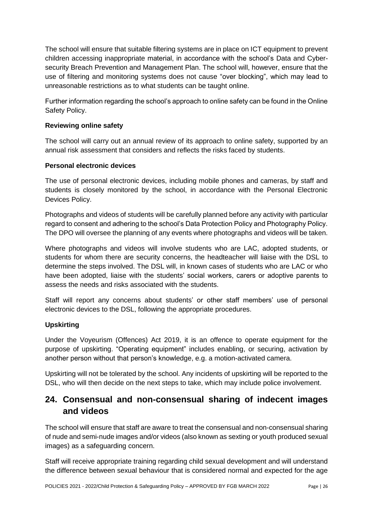The school will ensure that suitable filtering systems are in place on ICT equipment to prevent children accessing inappropriate material, in accordance with the school's Data and Cybersecurity Breach Prevention and Management Plan. The school will, however, ensure that the use of filtering and monitoring systems does not cause "over blocking", which may lead to unreasonable restrictions as to what students can be taught online.

Further information regarding the school's approach to online safety can be found in the Online Safety Policy.

#### **Reviewing online safety**

The school will carry out an annual review of its approach to online safety, supported by an annual risk assessment that considers and reflects the risks faced by students.

#### **Personal electronic devices**

The use of personal electronic devices, including mobile phones and cameras, by staff and students is closely monitored by the school, in accordance with the Personal Electronic Devices Policy.

Photographs and videos of students will be carefully planned before any activity with particular regard to consent and adhering to the school's Data Protection Policy and Photography Policy. The DPO will oversee the planning of any events where photographs and videos will be taken.

Where photographs and videos will involve students who are LAC, adopted students, or students for whom there are security concerns, the headteacher will liaise with the DSL to determine the steps involved. The DSL will, in known cases of students who are LAC or who have been adopted, liaise with the students' social workers, carers or adoptive parents to assess the needs and risks associated with the students.

Staff will report any concerns about students' or other staff members' use of personal electronic devices to the DSL, following the appropriate procedures.

#### **Upskirting**

Under the Voyeurism (Offences) Act 2019, it is an offence to operate equipment for the purpose of upskirting. "Operating equipment" includes enabling, or securing, activation by another person without that person's knowledge, e.g. a motion-activated camera.

Upskirting will not be tolerated by the school. Any incidents of upskirting will be reported to the DSL, who will then decide on the next steps to take, which may include police involvement.

# <span id="page-27-0"></span>**24. Consensual and non-consensual sharing of indecent images and videos**

The school will ensure that staff are aware to treat the consensual and non-consensual sharing of nude and semi-nude images and/or videos (also known as sexting or youth produced sexual images) as a safeguarding concern.

Staff will receive appropriate training regarding child sexual development and will understand the difference between sexual behaviour that is considered normal and expected for the age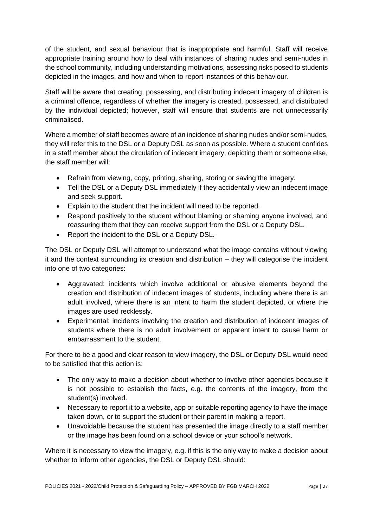of the student, and sexual behaviour that is inappropriate and harmful. Staff will receive appropriate training around how to deal with instances of sharing nudes and semi-nudes in the school community, including understanding motivations, assessing risks posed to students depicted in the images, and how and when to report instances of this behaviour.

Staff will be aware that creating, possessing, and distributing indecent imagery of children is a criminal offence, regardless of whether the imagery is created, possessed, and distributed by the individual depicted; however, staff will ensure that students are not unnecessarily criminalised.

Where a member of staff becomes aware of an incidence of sharing nudes and/or semi-nudes, they will refer this to the DSL or a Deputy DSL as soon as possible. Where a student confides in a staff member about the circulation of indecent imagery, depicting them or someone else, the staff member will:

- Refrain from viewing, copy, printing, sharing, storing or saving the imagery.
- Tell the DSL or a Deputy DSL immediately if they accidentally view an indecent image and seek support.
- Explain to the student that the incident will need to be reported.
- Respond positively to the student without blaming or shaming anyone involved, and reassuring them that they can receive support from the DSL or a Deputy DSL.
- Report the incident to the DSL or a Deputy DSL.

The DSL or Deputy DSL will attempt to understand what the image contains without viewing it and the context surrounding its creation and distribution – they will categorise the incident into one of two categories:

- Aggravated: incidents which involve additional or abusive elements beyond the creation and distribution of indecent images of students, including where there is an adult involved, where there is an intent to harm the student depicted, or where the images are used recklessly.
- Experimental: incidents involving the creation and distribution of indecent images of students where there is no adult involvement or apparent intent to cause harm or embarrassment to the student.

For there to be a good and clear reason to view imagery, the DSL or Deputy DSL would need to be satisfied that this action is:

- The only way to make a decision about whether to involve other agencies because it is not possible to establish the facts, e.g. the contents of the imagery, from the student(s) involved.
- Necessary to report it to a website, app or suitable reporting agency to have the image taken down, or to support the student or their parent in making a report.
- Unavoidable because the student has presented the image directly to a staff member or the image has been found on a school device or your school's network.

Where it is necessary to view the imagery, e.g. if this is the only way to make a decision about whether to inform other agencies, the DSL or Deputy DSL should: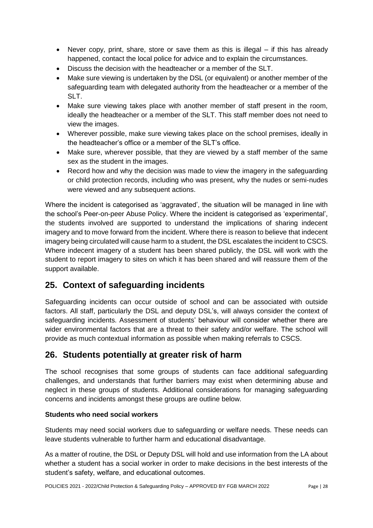- Never copy, print, share, store or save them as this is illegal if this has already happened, contact the local police for advice and to explain the circumstances.
- Discuss the decision with the headteacher or a member of the SLT.
- Make sure viewing is undertaken by the DSL (or equivalent) or another member of the safeguarding team with delegated authority from the headteacher or a member of the SLT.
- Make sure viewing takes place with another member of staff present in the room, ideally the headteacher or a member of the SLT. This staff member does not need to view the images.
- Wherever possible, make sure viewing takes place on the school premises, ideally in the headteacher's office or a member of the SLT's office.
- Make sure, wherever possible, that they are viewed by a staff member of the same sex as the student in the images.
- Record how and why the decision was made to view the imagery in the safeguarding or child protection records, including who was present, why the nudes or semi-nudes were viewed and any subsequent actions.

Where the incident is categorised as 'aggravated', the situation will be managed in line with the school's Peer-on-peer Abuse Policy. Where the incident is categorised as 'experimental', the students involved are supported to understand the implications of sharing indecent imagery and to move forward from the incident. Where there is reason to believe that indecent imagery being circulated will cause harm to a student, the DSL escalates the incident to CSCS. Where indecent imagery of a student has been shared publicly, the DSL will work with the student to report imagery to sites on which it has been shared and will reassure them of the support available.

# <span id="page-29-0"></span>**25. Context of safeguarding incidents**

Safeguarding incidents can occur outside of school and can be associated with outside factors. All staff, particularly the DSL and deputy DSL's, will always consider the context of safeguarding incidents. Assessment of students' behaviour will consider whether there are wider environmental factors that are a threat to their safety and/or welfare. The school will provide as much contextual information as possible when making referrals to CSCS.

# <span id="page-29-1"></span>**26. Students potentially at greater risk of harm**

The school recognises that some groups of students can face additional safeguarding challenges, and understands that further barriers may exist when determining abuse and neglect in these groups of students. Additional considerations for managing safeguarding concerns and incidents amongst these groups are outline below.

#### **Students who need social workers**

Students may need social workers due to safeguarding or welfare needs. These needs can leave students vulnerable to further harm and educational disadvantage.

As a matter of routine, the DSL or Deputy DSL will hold and use information from the LA about whether a student has a social worker in order to make decisions in the best interests of the student's safety, welfare, and educational outcomes.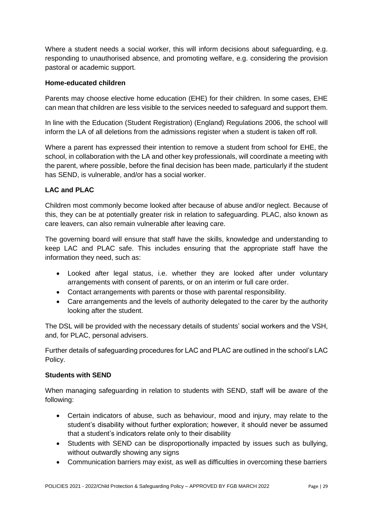Where a student needs a social worker, this will inform decisions about safeguarding, e.g. responding to unauthorised absence, and promoting welfare, e.g. considering the provision pastoral or academic support.

#### **Home-educated children**

Parents may choose elective home education (EHE) for their children. In some cases, EHE can mean that children are less visible to the services needed to safeguard and support them.

In line with the Education (Student Registration) (England) Regulations 2006, the school will inform the LA of all deletions from the admissions register when a student is taken off roll.

Where a parent has expressed their intention to remove a student from school for EHE, the school, in collaboration with the LA and other key professionals, will coordinate a meeting with the parent, where possible, before the final decision has been made, particularly if the student has SEND, is vulnerable, and/or has a social worker.

#### **LAC and PLAC**

Children most commonly become looked after because of abuse and/or neglect. Because of this, they can be at potentially greater risk in relation to safeguarding. PLAC, also known as care leavers, can also remain vulnerable after leaving care.

The governing board will ensure that staff have the skills, knowledge and understanding to keep LAC and PLAC safe. This includes ensuring that the appropriate staff have the information they need, such as:

- Looked after legal status, i.e. whether they are looked after under voluntary arrangements with consent of parents, or on an interim or full care order.
- Contact arrangements with parents or those with parental responsibility.
- Care arrangements and the levels of authority delegated to the carer by the authority looking after the student.

The DSL will be provided with the necessary details of students' social workers and the VSH, and, for PLAC, personal advisers.

Further details of safeguarding procedures for LAC and PLAC are outlined in the school's LAC Policy.

#### **Students with SEND**

When managing safeguarding in relation to students with SEND, staff will be aware of the following:

- Certain indicators of abuse, such as behaviour, mood and injury, may relate to the student's disability without further exploration; however, it should never be assumed that a student's indicators relate only to their disability
- Students with SEND can be disproportionally impacted by issues such as bullying, without outwardly showing any signs
- Communication barriers may exist, as well as difficulties in overcoming these barriers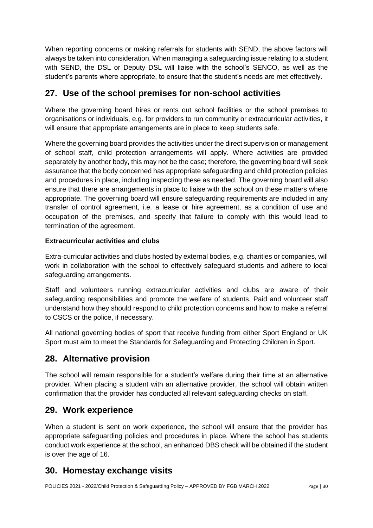When reporting concerns or making referrals for students with SEND, the above factors will always be taken into consideration. When managing a safeguarding issue relating to a student with SEND, the DSL or Deputy DSL will liaise with the school's SENCO, as well as the student's parents where appropriate, to ensure that the student's needs are met effectively.

# <span id="page-31-0"></span>**27. Use of the school premises for non-school activities**

Where the governing board hires or rents out school facilities or the school premises to organisations or individuals, e.g. for providers to run community or extracurricular activities, it will ensure that appropriate arrangements are in place to keep students safe.

Where the governing board provides the activities under the direct supervision or management of school staff, child protection arrangements will apply. Where activities are provided separately by another body, this may not be the case; therefore, the governing board will seek assurance that the body concerned has appropriate safeguarding and child protection policies and procedures in place, including inspecting these as needed. The governing board will also ensure that there are arrangements in place to liaise with the school on these matters where appropriate. The governing board will ensure safeguarding requirements are included in any transfer of control agreement, i.e. a lease or hire agreement, as a condition of use and occupation of the premises, and specify that failure to comply with this would lead to termination of the agreement.

#### **Extracurricular activities and clubs**

Extra-curricular activities and clubs hosted by external bodies, e.g. charities or companies, will work in collaboration with the school to effectively safeguard students and adhere to local safeguarding arrangements.

Staff and volunteers running extracurricular activities and clubs are aware of their safeguarding responsibilities and promote the welfare of students. Paid and volunteer staff understand how they should respond to child protection concerns and how to make a referral to CSCS or the police, if necessary.

All national governing bodies of sport that receive funding from either Sport England or UK Sport must aim to meet the Standards for Safeguarding and Protecting Children in Sport.

# <span id="page-31-1"></span>**28. Alternative provision**

The school will remain responsible for a student's welfare during their time at an alternative provider. When placing a student with an alternative provider, the school will obtain written confirmation that the provider has conducted all relevant safeguarding checks on staff.

### <span id="page-31-2"></span>**29. Work experience**

When a student is sent on work experience, the school will ensure that the provider has appropriate safeguarding policies and procedures in place. Where the school has students conduct work experience at the school, an enhanced DBS check will be obtained if the student is over the age of 16.

# <span id="page-31-3"></span>**30. Homestay exchange visits**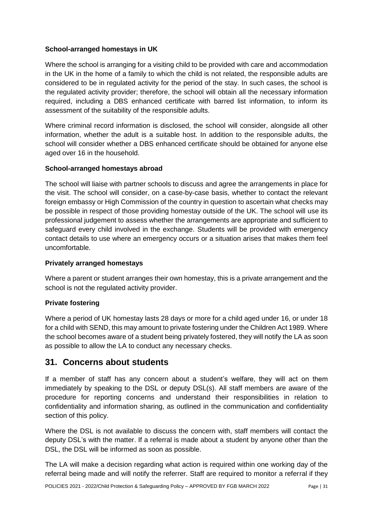#### **School-arranged homestays in UK**

Where the school is arranging for a visiting child to be provided with care and accommodation in the UK in the home of a family to which the child is not related, the responsible adults are considered to be in regulated activity for the period of the stay. In such cases, the school is the regulated activity provider; therefore, the school will obtain all the necessary information required, including a DBS enhanced certificate with barred list information, to inform its assessment of the suitability of the responsible adults.

Where criminal record information is disclosed, the school will consider, alongside all other information, whether the adult is a suitable host. In addition to the responsible adults, the school will consider whether a DBS enhanced certificate should be obtained for anyone else aged over 16 in the household.

#### **School-arranged homestays abroad**

The school will liaise with partner schools to discuss and agree the arrangements in place for the visit. The school will consider, on a case-by-case basis, whether to contact the relevant foreign embassy or High Commission of the country in question to ascertain what checks may be possible in respect of those providing homestay outside of the UK. The school will use its professional judgement to assess whether the arrangements are appropriate and sufficient to safeguard every child involved in the exchange. Students will be provided with emergency contact details to use where an emergency occurs or a situation arises that makes them feel uncomfortable.

#### **Privately arranged homestays**

Where a parent or student arranges their own homestay, this is a private arrangement and the school is not the regulated activity provider.

#### **Private fostering**

Where a period of UK homestay lasts 28 days or more for a child aged under 16, or under 18 for a child with SEND, this may amount to private fostering under the Children Act 1989. Where the school becomes aware of a student being privately fostered, they will notify the LA as soon as possible to allow the LA to conduct any necessary checks.

### <span id="page-32-0"></span>**31. Concerns about students**

If a member of staff has any concern about a student's welfare, they will act on them immediately by speaking to the DSL or deputy DSL(s). All staff members are aware of the procedure for reporting concerns and understand their responsibilities in relation to confidentiality and information sharing, as outlined in the [communication and confidentiality](#page-34-2) section of this policy.

Where the DSL is not available to discuss the concern with, staff members will contact the deputy DSL's with the matter. If a referral is made about a student by anyone other than the DSL, the DSL will be informed as soon as possible.

The LA will make a decision regarding what action is required within one working day of the referral being made and will notify the referrer. Staff are required to monitor a referral if they

POLICIES 2021 - 2022/Child Protection & Safeguarding Policy – APPROVED BY FGB MARCH 2022 Page | 31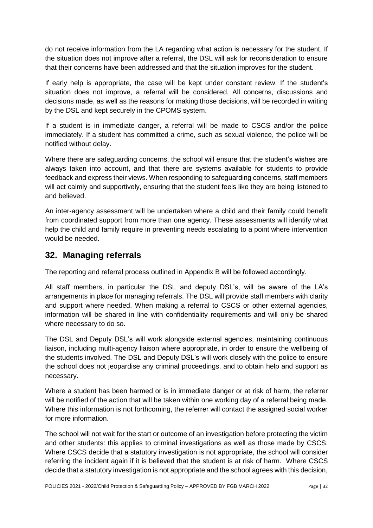do not receive information from the LA regarding what action is necessary for the student. If the situation does not improve after a referral, the DSL will ask for reconsideration to ensure that their concerns have been addressed and that the situation improves for the student.

If early help is appropriate, the case will be kept under constant review. If the student's situation does not improve, a referral will be considered. All concerns, discussions and decisions made, as well as the reasons for making those decisions, will be recorded in writing by the DSL and kept securely in the CPOMS system.

If a student is in immediate danger, a referral will be made to CSCS and/or the police immediately. If a student has committed a crime, such as sexual violence, the police will be notified without delay.

Where there are safeguarding concerns, the school will ensure that the student's wishes are always taken into account, and that there are systems available for students to provide feedback and express their views. When responding to safeguarding concerns, staff members will act calmly and supportively, ensuring that the student feels like they are being listened to and believed.

An inter-agency assessment will be undertaken where a child and their family could benefit from coordinated support from more than one agency. These assessments will identify what help the child and family require in preventing needs escalating to a point where intervention would be needed.

### <span id="page-33-0"></span>**32. Managing referrals**

The reporting and referral process outlined in [Appendix B](#page-38-1) will be followed accordingly.

All staff members, in particular the DSL and deputy DSL's, will be aware of the LA's arrangements in place for managing referrals. The DSL will provide staff members with clarity and support where needed. When making a referral to CSCS or other external agencies, information will be shared in line with confidentiality requirements and will only be shared where necessary to do so.

The DSL and Deputy DSL's will work alongside external agencies, maintaining continuous liaison, including multi-agency liaison where appropriate, in order to ensure the wellbeing of the students involved. The DSL and Deputy DSL's will work closely with the police to ensure the school does not jeopardise any criminal proceedings, and to obtain help and support as necessary.

Where a student has been harmed or is in immediate danger or at risk of harm, the referrer will be notified of the action that will be taken within one working day of a referral being made. Where this information is not forthcoming, the referrer will contact the assigned social worker for more information.

The school will not wait for the start or outcome of an investigation before protecting the victim and other students: this applies to criminal investigations as well as those made by CSCS. Where CSCS decide that a statutory investigation is not appropriate, the school will consider referring the incident again if it is believed that the student is at risk of harm. Where CSCS decide that a statutory investigation is not appropriate and the school agrees with this decision,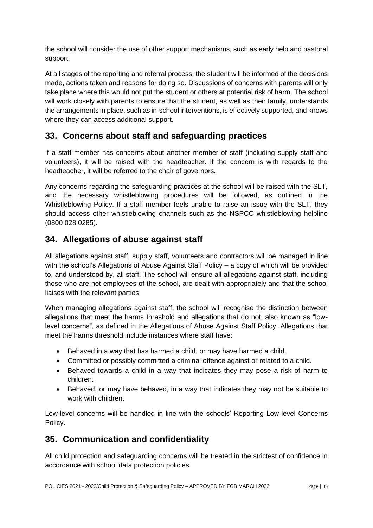the school will consider the use of other support mechanisms, such as early help and pastoral support.

At all stages of the reporting and referral process, the student will be informed of the decisions made, actions taken and reasons for doing so. Discussions of concerns with parents will only take place where this would not put the student or others at potential risk of harm. The school will work closely with parents to ensure that the student, as well as their family, understands the arrangements in place, such as in-school interventions, is effectively supported, and knows where they can access additional support.

# <span id="page-34-0"></span>**33. Concerns about staff and safeguarding practices**

If a staff member has concerns about another member of staff (including supply staff and volunteers), it will be raised with the headteacher. If the concern is with regards to the headteacher, it will be referred to the chair of governors.

Any concerns regarding the safeguarding practices at the school will be raised with the SLT, and the necessary whistleblowing procedures will be followed, as outlined in the Whistleblowing Policy. If a staff member feels unable to raise an issue with the SLT, they should access other whistleblowing channels such as the NSPCC whistleblowing helpline (0800 028 0285).

### <span id="page-34-1"></span>**34. Allegations of abuse against staff**

All allegations against staff, supply staff, volunteers and contractors will be managed in line with the school's Allegations of Abuse Against Staff Policy – a copy of which will be provided to, and understood by, all staff. The school will ensure all allegations against staff, including those who are not employees of the school, are dealt with appropriately and that the school liaises with the relevant parties.

When managing allegations against staff, the school will recognise the distinction between allegations that meet the harms threshold and allegations that do not, also known as "lowlevel concerns", as defined in the Allegations of Abuse Against Staff Policy. Allegations that meet the harms threshold include instances where staff have:

- Behaved in a way that has harmed a child, or may have harmed a child.
- Committed or possibly committed a criminal offence against or related to a child.
- Behaved towards a child in a way that indicates they may pose a risk of harm to children.
- Behaved, or may have behaved, in a way that indicates they may not be suitable to work with children.

Low-level concerns will be handled in line with the schools' Reporting Low-level Concerns Policy.

# <span id="page-34-2"></span>**35. Communication and confidentiality**

All child protection and safeguarding concerns will be treated in the strictest of confidence in accordance with school data protection policies.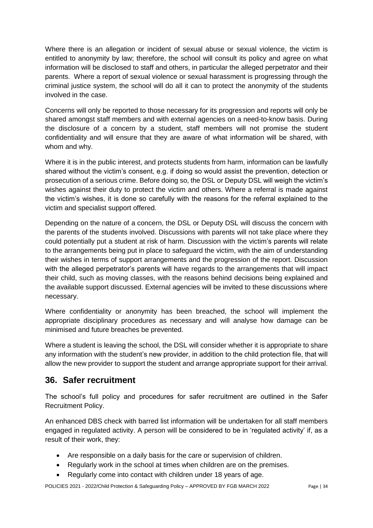Where there is an allegation or incident of sexual abuse or sexual violence, the victim is entitled to anonymity by law; therefore, the school will consult its policy and agree on what information will be disclosed to staff and others, in particular the alleged perpetrator and their parents. Where a report of sexual violence or sexual harassment is progressing through the criminal justice system, the school will do all it can to protect the anonymity of the students involved in the case.

Concerns will only be reported to those necessary for its progression and reports will only be shared amongst staff members and with external agencies on a need-to-know basis. During the disclosure of a concern by a student, staff members will not promise the student confidentiality and will ensure that they are aware of what information will be shared, with whom and why.

Where it is in the public interest, and protects students from harm, information can be lawfully shared without the victim's consent, e.g. if doing so would assist the prevention, detection or prosecution of a serious crime. Before doing so, the DSL or Deputy DSL will weigh the victim's wishes against their duty to protect the victim and others. Where a referral is made against the victim's wishes, it is done so carefully with the reasons for the referral explained to the victim and specialist support offered.

Depending on the nature of a concern, the DSL or Deputy DSL will discuss the concern with the parents of the students involved. Discussions with parents will not take place where they could potentially put a student at risk of harm. Discussion with the victim's parents will relate to the arrangements being put in place to safeguard the victim, with the aim of understanding their wishes in terms of support arrangements and the progression of the report. Discussion with the alleged perpetrator's parents will have regards to the arrangements that will impact their child, such as moving classes, with the reasons behind decisions being explained and the available support discussed. External agencies will be invited to these discussions where necessary.

Where confidentiality or anonymity has been breached, the school will implement the appropriate disciplinary procedures as necessary and will analyse how damage can be minimised and future breaches be prevented.

Where a student is leaving the school, the DSL will consider whether it is appropriate to share any information with the student's new provider, in addition to the child protection file, that will allow the new provider to support the student and arrange appropriate support for their arrival.

### <span id="page-35-0"></span>**36. Safer recruitment**

The school's full policy and procedures for safer recruitment are outlined in the Safer Recruitment Policy.

An enhanced DBS check with barred list information will be undertaken for all staff members engaged in regulated activity. A person will be considered to be in 'regulated activity' if, as a result of their work, they:

- Are responsible on a daily basis for the care or supervision of children.
- Regularly work in the school at times when children are on the premises.
- Regularly come into contact with children under 18 years of age.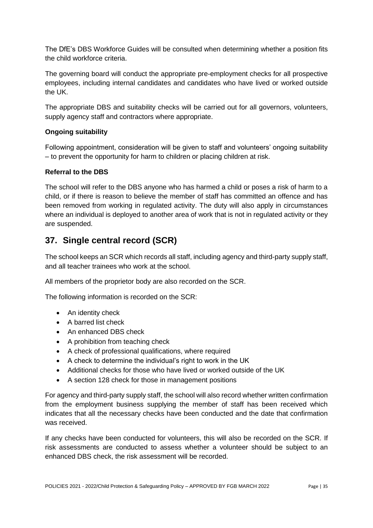The DfE's [DBS Workforce Guides](https://www.gov.uk/government/publications/dbs-workforce-guidance) will be consulted when determining whether a position fits the child workforce criteria.

The governing board will conduct the appropriate pre-employment checks for all prospective employees, including internal candidates and candidates who have lived or worked outside the UK.

The appropriate DBS and suitability checks will be carried out for all governors, volunteers, supply agency staff and contractors where appropriate.

#### **Ongoing suitability**

Following appointment, consideration will be given to staff and volunteers' ongoing suitability – to prevent the opportunity for harm to children or placing children at risk.

#### **Referral to the DBS**

The school will refer to the DBS anyone who has harmed a child or poses a risk of harm to a child, or if there is reason to believe the member of staff has committed an offence and has been removed from working in regulated activity. The duty will also apply in circumstances where an individual is deployed to another area of work that is not in regulated activity or they are suspended.

### <span id="page-36-0"></span>**37. Single central record (SCR)**

The school keeps an SCR which records all staff, including agency and third-party supply staff, and all teacher trainees who work at the school.

All members of the proprietor body are also recorded on the SCR.

The following information is recorded on the SCR:

- An identity check
- A barred list check
- An enhanced DBS check
- A prohibition from teaching check
- A check of professional qualifications, where required
- A check to determine the individual's right to work in the UK
- Additional checks for those who have lived or worked outside of the UK
- A section 128 check for those in management positions

For agency and third-party supply staff, the school will also record whether written confirmation from the employment business supplying the member of staff has been received which indicates that all the necessary checks have been conducted and the date that confirmation was received.

If any checks have been conducted for volunteers, this will also be recorded on the SCR. If risk assessments are conducted to assess whether a volunteer should be subject to an enhanced DBS check, the risk assessment will be recorded.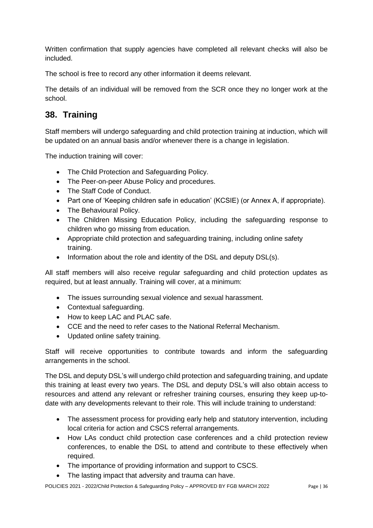Written confirmation that supply agencies have completed all relevant checks will also be included.

The school is free to record any other information it deems relevant.

The details of an individual will be removed from the SCR once they no longer work at the school.

### <span id="page-37-0"></span>**38. Training**

Staff members will undergo safeguarding and child protection training at induction, which will be updated on an annual basis and/or whenever there is a change in legislation.

The induction training will cover:

- The Child Protection and Safeguarding Policy.
- The Peer-on-peer Abuse Policy and procedures.
- The Staff Code of Conduct.
- Part one of 'Keeping children safe in education' (KCSIE) (or Annex A, if appropriate).
- The Behavioural Policy.
- The Children Missing Education Policy, including the safeguarding response to children who go missing from education.
- Appropriate child protection and safeguarding training, including online safety training.
- Information about the role and identity of the DSL and deputy DSL(s).

All staff members will also receive regular safeguarding and child protection updates as required, but at least annually. Training will cover, at a minimum:

- The issues surrounding sexual violence and sexual harassment.
- Contextual safeguarding.
- How to keep LAC and PLAC safe.
- CCE and the need to refer cases to the National Referral Mechanism.
- Updated online safety training.

Staff will receive opportunities to contribute towards and inform the safeguarding arrangements in the school.

The DSL and deputy DSL's will undergo child protection and safeguarding training, and update this training at least every two years. The DSL and deputy DSL's will also obtain access to resources and attend any relevant or refresher training courses, ensuring they keep up-todate with any developments relevant to their role. This will include training to understand:

- The assessment process for providing early help and statutory intervention, including local criteria for action and CSCS referral arrangements.
- How LAs conduct child protection case conferences and a child protection review conferences, to enable the DSL to attend and contribute to these effectively when required.
- The importance of providing information and support to CSCS.
- The lasting impact that adversity and trauma can have.

POLICIES 2021 - 2022/Child Protection & Safeguarding Policy – APPROVED BY FGB MARCH 2022 Page | 36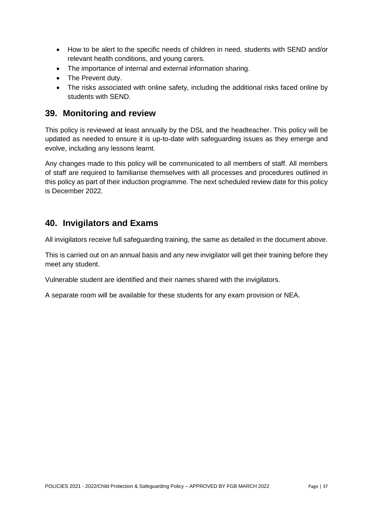- How to be alert to the specific needs of children in need, students with SEND and/or relevant health conditions, and young carers.
- The importance of internal and external information sharing.
- The Prevent duty.
- The risks associated with online safety, including the additional risks faced online by students with SEND.

### <span id="page-38-0"></span>**39. Monitoring and review**

This policy is reviewed at least annually by the DSL and the headteacher. This policy will be updated as needed to ensure it is up-to-date with safeguarding issues as they emerge and evolve, including any lessons learnt.

Any changes made to this policy will be communicated to all members of staff. All members of staff are required to familiarise themselves with all processes and procedures outlined in this policy as part of their induction programme. The next scheduled review date for this policy is December 2022.

### **40. Invigilators and Exams**

All invigilators receive full safeguarding training, the same as detailed in the document above.

This is carried out on an annual basis and any new invigilator will get their training before they meet any student.

Vulnerable student are identified and their names shared with the invigilators.

<span id="page-38-1"></span>A separate room will be available for these students for any exam provision or NEA.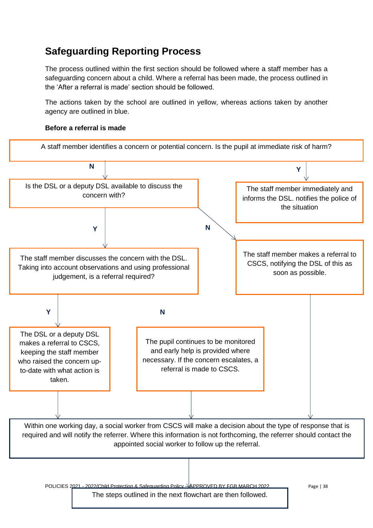# **Safeguarding Reporting Process**

The process outlined within the first section should be followed where a staff member has a safeguarding concern about a child. Where a referral has been made, the process outlined in the 'After a referral is made' section should be followed.

The actions taken by the school are outlined in yellow, whereas actions taken by another agency are outlined in blue.

#### **Before a referral is made**



The steps outlined in the next flowchart are then followed.